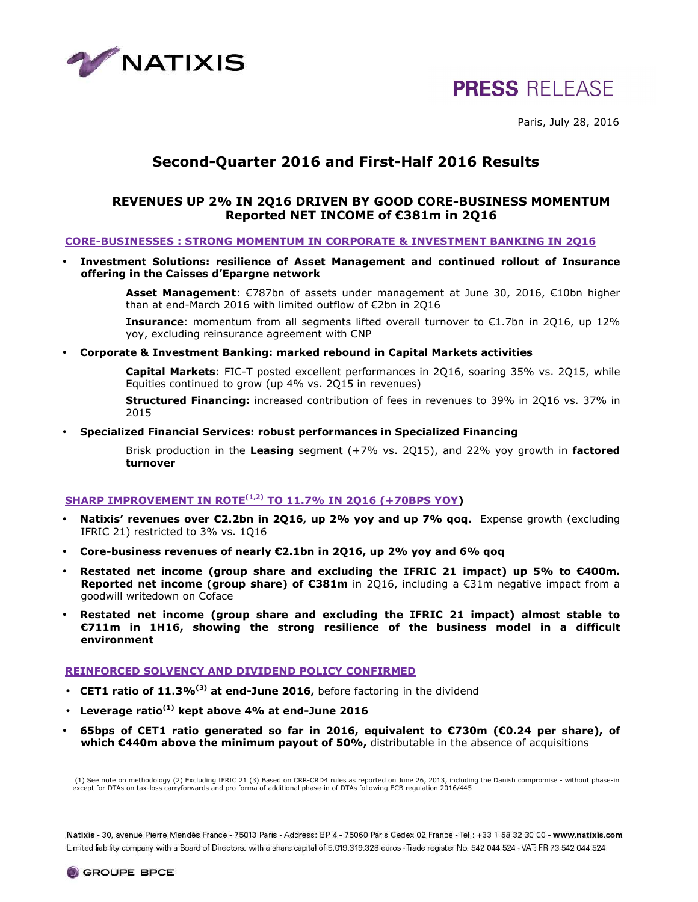

# **PRESS RELEASE**

Paris, July 28, 2016

## **Second-Quarter 2016 and First-Half 2016 Results**

### **REVENUES UP 2% IN 2Q16 DRIVEN BY GOOD CORE-BUSINESS MOMENTUM Reported NET INCOME of €381m in 2Q16**

### **CORE-BUSINESSES : STRONG MOMENTUM IN CORPORATE & INVESTMENT BANKING IN 2Q16**

• **Investment Solutions: resilience of Asset Management and continued rollout of Insurance offering in the Caisses d'Epargne network** 

> **Asset Management**: €787bn of assets under management at June 30, 2016, €10bn higher than at end-March 2016 with limited outflow of €2bn in 2Q16

> **Insurance**: momentum from all segments lifted overall turnover to €1.7bn in 2Q16, up 12% yoy, excluding reinsurance agreement with CNP

• **Corporate & Investment Banking: marked rebound in Capital Markets activities** 

**Capital Markets**: FIC-T posted excellent performances in 2Q16, soaring 35% vs. 2Q15, while Equities continued to grow (up 4% vs. 2Q15 in revenues)

**Structured Financing:** increased contribution of fees in revenues to 39% in 2Q16 vs. 37% in 2015

• **Specialized Financial Services: robust performances in Specialized Financing** 

Brisk production in the **Leasing** segment (+7% vs. 2Q15), and 22% yoy growth in **factored turnover** 

### **SHARP IMPROVEMENT IN ROTE(1,2) TO 11.7% IN 2Q16 (+70BPS YOY)**

- **Natixis' revenues over €2.2bn in 2Q16, up 2% yoy and up 7% qoq.** Expense growth (excluding IFRIC 21) restricted to 3% vs. 1Q16
- **Core-business revenues of nearly €2.1bn in 2Q16, up 2% yoy and 6% qoq**
- **Restated net income (group share and excluding the IFRIC 21 impact) up 5% to €400m. Reported net income (group share) of €381m** in 2Q16, including a €31m negative impact from a goodwill writedown on Coface
- **Restated net income (group share and excluding the IFRIC 21 impact) almost stable to €711m in 1H16, showing the strong resilience of the business model in a difficult environment**

### **REINFORCED SOLVENCY AND DIVIDEND POLICY CONFIRMED**

- **CET1 ratio of 11.3%(3) at end-June 2016,** before factoring in the dividend
- **Leverage ratio(1) kept above 4% at end-June 2016**
- **65bps of CET1 ratio generated so far in 2016, equivalent to €730m (€0.24 per share), of which €440m above the minimum payout of 50%,** distributable in the absence of acquisitions

 (1) See note on methodology (2) Excluding IFRIC 21 (3) Based on CRR-CRD4 rules as reported on June 26, 2013, including the Danish compromise - without phase-in except for DTAs on tax-loss carryforwards and pro forma of additional phase-in of DTAs following ECB regulation 2016/445

Natixis - 30, avenue Pierre Mendès France - 75013 Paris - Address: BP 4 - 75060 Paris Cedex 02 France - Tel.: +33 1 58 32 30 00 - www.natixis.com Limited liability company with a Board of Directors, with a share capital of 5,019,319,328 euros - Trade register No. 542 044 524 - VAT: FR 73 542 044 524

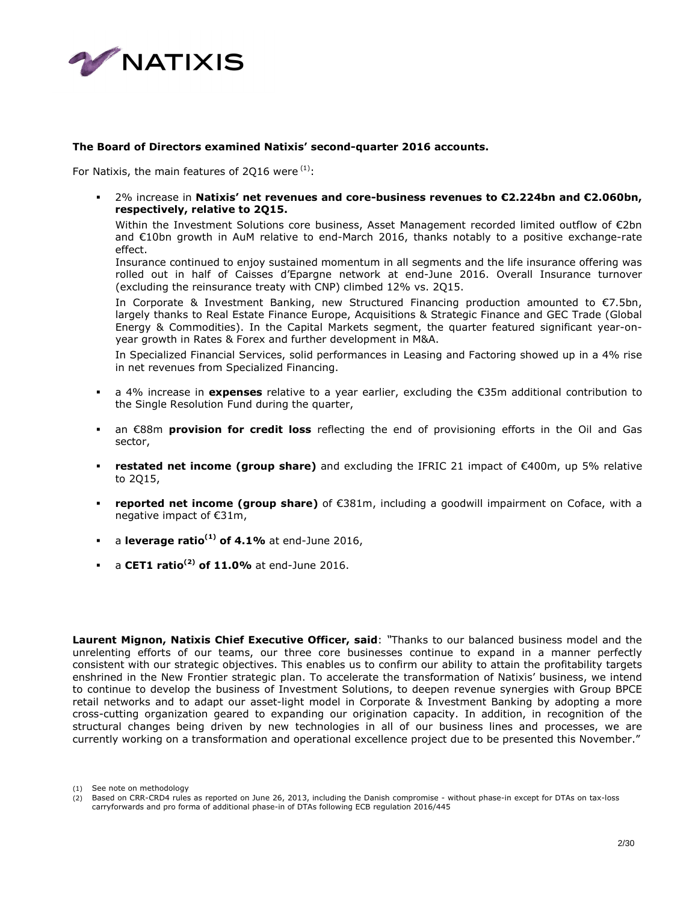

### **The Board of Directors examined Natixis' second-quarter 2016 accounts.**

For Natixis, the main features of 2016 were  $(1)$ :

 2% increase in **Natixis' net revenues and core-business revenues to €2.224bn and €2.060bn, respectively, relative to 2Q15.** 

Within the Investment Solutions core business, Asset Management recorded limited outflow of €2bn and €10bn growth in AuM relative to end-March 2016, thanks notably to a positive exchange-rate effect.

Insurance continued to enjoy sustained momentum in all segments and the life insurance offering was rolled out in half of Caisses d'Epargne network at end-June 2016. Overall Insurance turnover (excluding the reinsurance treaty with CNP) climbed 12% vs. 2Q15.

In Corporate & Investment Banking, new Structured Financing production amounted to  $\epsilon$ 7.5bn, largely thanks to Real Estate Finance Europe, Acquisitions & Strategic Finance and GEC Trade (Global Energy & Commodities). In the Capital Markets segment, the quarter featured significant year-onyear growth in Rates & Forex and further development in M&A.

In Specialized Financial Services, solid performances in Leasing and Factoring showed up in a 4% rise in net revenues from Specialized Financing.

- a 4% increase in **expenses** relative to a year earlier, excluding the €35m additional contribution to the Single Resolution Fund during the quarter,
- an €88m **provision for credit loss** reflecting the end of provisioning efforts in the Oil and Gas sector,
- **restated net income (group share)** and excluding the IFRIC 21 impact of €400m, up 5% relative to 2Q15,
- **reported net income (group share)** of €381m, including a goodwill impairment on Coface, with a negative impact of €31m,
- a **leverage ratio(1) of 4.1%** at end-June 2016,
- a **CET1 ratio(2) of 11.0%** at end-June 2016.

**Laurent Mignon, Natixis Chief Executive Officer, said**: *"*Thanks to our balanced business model and the unrelenting efforts of our teams, our three core businesses continue to expand in a manner perfectly consistent with our strategic objectives. This enables us to confirm our ability to attain the profitability targets enshrined in the New Frontier strategic plan. To accelerate the transformation of Natixis' business, we intend to continue to develop the business of Investment Solutions, to deepen revenue synergies with Group BPCE retail networks and to adapt our asset-light model in Corporate & Investment Banking by adopting a more cross-cutting organization geared to expanding our origination capacity. In addition, in recognition of the structural changes being driven by new technologies in all of our business lines and processes, we are currently working on a transformation and operational excellence project due to be presented this November."

<sup>(1)</sup> See note on methodology

<sup>(2)</sup> Based on CRR-CRD4 rules as reported on June 26, 2013, including the Danish compromise - without phase-in except for DTAs on tax-loss carryforwards and pro forma of additional phase-in of DTAs following ECB regulation 2016/445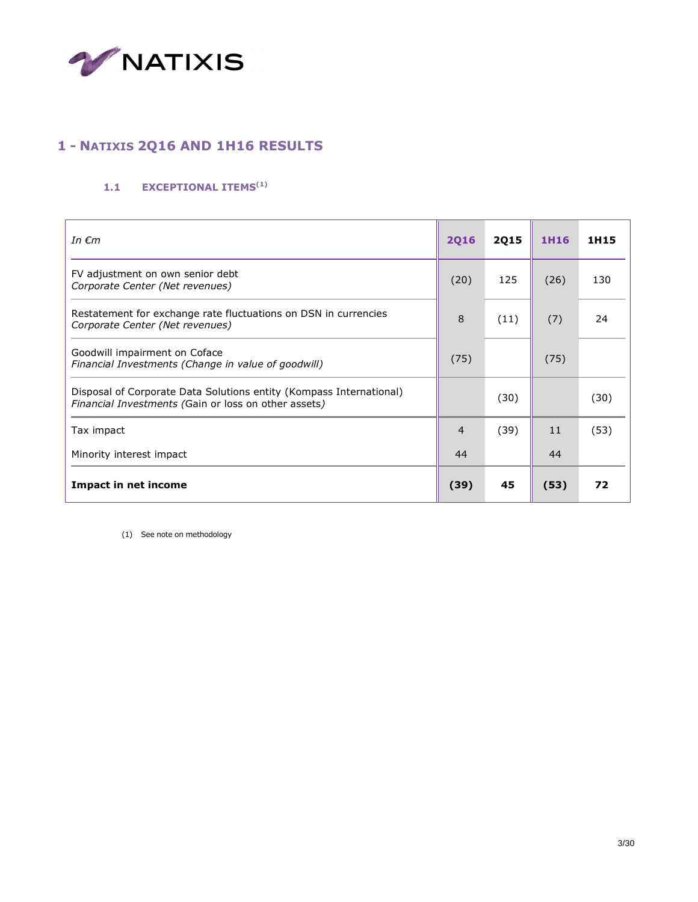

## **1 - NATIXIS 2Q16 AND 1H16 RESULTS**

## **1.1 EXCEPTIONAL ITEMS(1)**

| In $\epsilon$ m                                                                                                             | <b>2Q16</b>    | <b>2Q15</b> | 1H16 | 1H15 |
|-----------------------------------------------------------------------------------------------------------------------------|----------------|-------------|------|------|
| FV adjustment on own senior debt<br>Corporate Center (Net revenues)                                                         | (20)           | 125         | (26) | 130  |
| Restatement for exchange rate fluctuations on DSN in currencies<br>Corporate Center (Net revenues)                          | 8              | (11)        | (7)  | 24   |
| Goodwill impairment on Coface<br>Financial Investments (Change in value of goodwill)                                        | (75)           |             | (75) |      |
| Disposal of Corporate Data Solutions entity (Kompass International)<br>Financial Investments (Gain or loss on other assets) |                | (30)        |      | (30) |
| Tax impact                                                                                                                  | $\overline{4}$ | (39)        | 11   | (53) |
| Minority interest impact                                                                                                    | 44             |             | 44   |      |
| <b>Impact in net income</b>                                                                                                 | (39)           | 45          | (53) | 72   |

(1) See note on methodology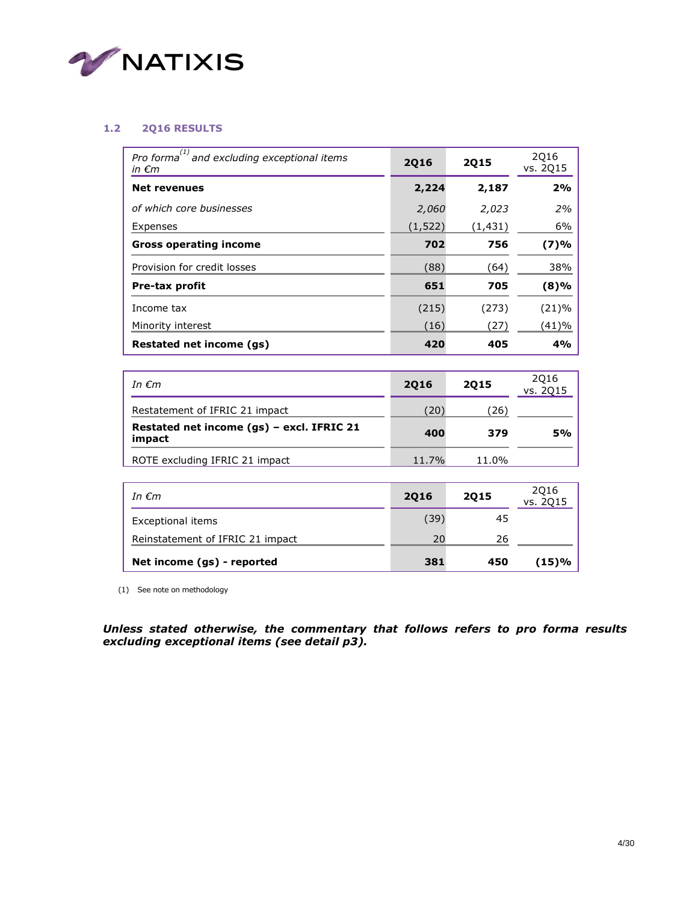

### **1.2 2Q16 RESULTS**

| (1)<br>Pro forma <sup>"</sup> and excluding exceptional items<br>in $\epsilon$ m | 2016     | 2015    | 2016<br>vs. 2Q15 |
|----------------------------------------------------------------------------------|----------|---------|------------------|
| <b>Net revenues</b>                                                              | 2,224    | 2,187   | 2%               |
| of which core businesses                                                         | 2,060    | 2,023   | 2%               |
| Expenses                                                                         | (1, 522) | (1,431) | 6%               |
| <b>Gross operating income</b>                                                    | 702      | 756     | (7)%             |
| Provision for credit losses                                                      | (88)     | (64)    | 38%              |
| Pre-tax profit                                                                   | 651      | 705     | $(8)\%$          |
| Income tax                                                                       | (215)    | (273)   | (21)%            |
| Minority interest                                                                | (16)     | (27)    | (41)%            |
| Restated net income (qs)                                                         | 420      | 405     | 4%               |

| In $\epsilon$ m                                     | 2016  | 2015  | 2Q16<br>vs. 2Q15 |
|-----------------------------------------------------|-------|-------|------------------|
| Restatement of IFRIC 21 impact                      | (20)  | (26)  |                  |
| Restated net income (gs) - excl. IFRIC 21<br>impact | 400   | 379   | 5%               |
| ROTE excluding IFRIC 21 impact                      | 11.7% | 11.0% |                  |

| In $\epsilon$ m                  | 2016 | <b>2Q15</b> | 2Q16<br>vs. 2Q15 |
|----------------------------------|------|-------------|------------------|
| Exceptional items                | (39) | 45          |                  |
| Reinstatement of IFRIC 21 impact | 20   | 26          |                  |
| Net income (gs) - reported       | 381  | 450         | (15)%            |

(1) See note on methodology

*Unless stated otherwise, the commentary that follows refers to pro forma results excluding exceptional items (see detail p3).*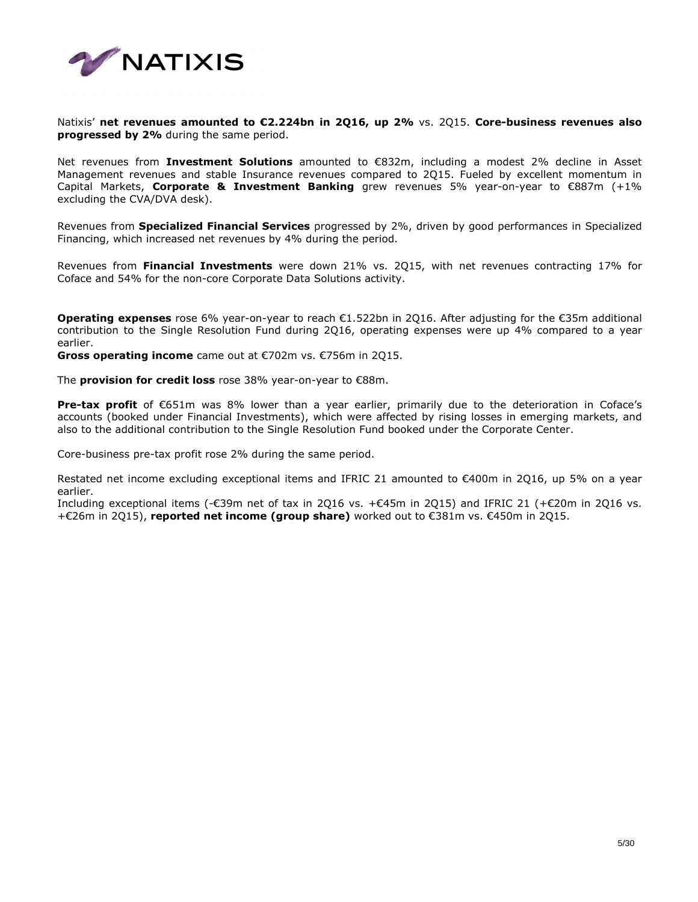

Natixis' **net revenues amounted to €2.224bn in 2Q16, up 2%** vs. 2Q15. **Core-business revenues also progressed by 2%** during the same period.

Net revenues from **Investment Solutions** amounted to €832m, including a modest 2% decline in Asset Management revenues and stable Insurance revenues compared to 2Q15. Fueled by excellent momentum in Capital Markets, **Corporate & Investment Banking** grew revenues 5% year-on-year to €887m (+1% excluding the CVA/DVA desk).

Revenues from **Specialized Financial Services** progressed by 2%, driven by good performances in Specialized Financing, which increased net revenues by 4% during the period.

Revenues from **Financial Investments** were down 21% vs. 2Q15, with net revenues contracting 17% for Coface and 54% for the non-core Corporate Data Solutions activity.

**Operating expenses** rose 6% year-on-year to reach €1.522bn in 2Q16. After adjusting for the €35m additional contribution to the Single Resolution Fund during 2Q16, operating expenses were up 4% compared to a year earlier.

**Gross operating income** came out at €702m vs. €756m in 2Q15.

The **provision for credit loss** rose 38% year-on-year to €88m.

**Pre-tax profit** of €651m was 8% lower than a year earlier, primarily due to the deterioration in Coface's accounts (booked under Financial Investments), which were affected by rising losses in emerging markets, and also to the additional contribution to the Single Resolution Fund booked under the Corporate Center.

Core-business pre-tax profit rose 2% during the same period.

Restated net income excluding exceptional items and IFRIC 21 amounted to €400m in 2Q16, up 5% on a year earlier.

Including exceptional items (-€39m net of tax in 2Q16 vs. +€45m in 2Q15) and IFRIC 21 (+€20m in 2Q16 vs. +€26m in 2Q15), **reported net income (group share)** worked out to €381m vs. €450m in 2Q15.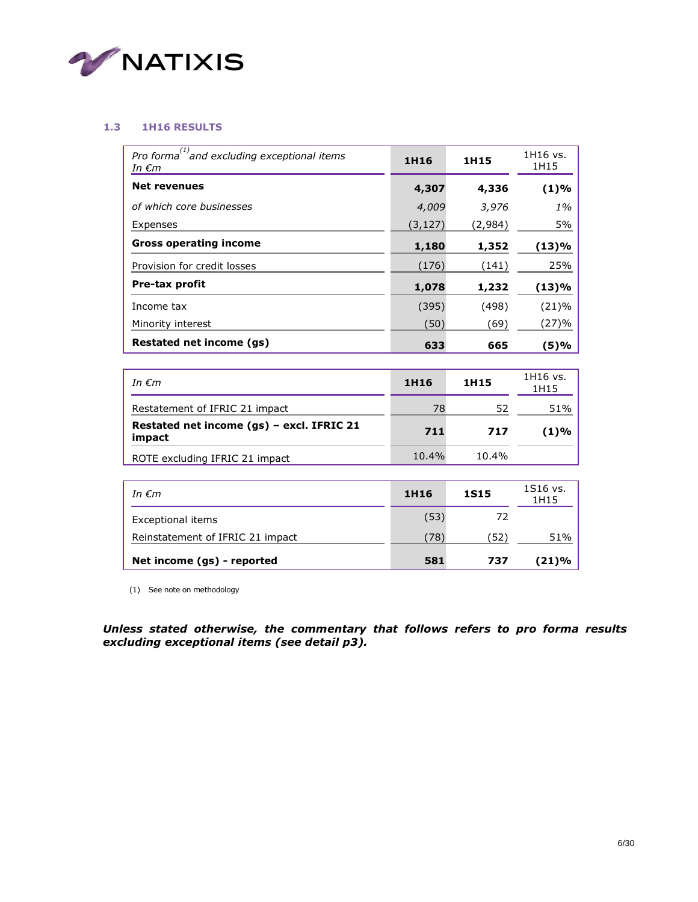

### **1.3 1H16 RESULTS**

| Pro forma $^{(1)}$ and excluding exceptional items<br>In €m | 1H16     | 1H15    | 1H16 vs.<br>1H15 |
|-------------------------------------------------------------|----------|---------|------------------|
| <b>Net revenues</b>                                         | 4,307    | 4,336   | (1)%             |
| of which core businesses                                    | 4,009    | 3,976   | 1%               |
| Expenses                                                    | (3, 127) | (2,984) | 5%               |
| <b>Gross operating income</b>                               | 1,180    | 1,352   | (13)%            |
| Provision for credit losses                                 | (176)    | (141)   | 25%              |
| Pre-tax profit                                              | 1,078    | 1,232   | (13)%            |
| Income tax                                                  | (395)    | (498)   | (21)%            |
| Minority interest                                           | (50)     | (69)    | (27)%            |
| Restated net income (qs)                                    | 633      | 665     | (5)%             |

| In $\epsilon$ m                                     | 1H16     | 1H15     | 1H16 vs.<br>1H15 |
|-----------------------------------------------------|----------|----------|------------------|
| Restatement of IFRIC 21 impact                      | 78       | 52       | 51%              |
| Restated net income (gs) - excl. IFRIC 21<br>impact | 711      | 717      | (1)%             |
| ROTE excluding IFRIC 21 impact                      | $10.4\%$ | $10.4\%$ |                  |

| In $\epsilon$ m                  | 1H16 | <b>1S15</b> | 1S16 vs.<br>1H15 |
|----------------------------------|------|-------------|------------------|
| Exceptional items                | (53) | 72          |                  |
| Reinstatement of IFRIC 21 impact | (78) | (52)        | 51%              |
| Net income (gs) - reported       | 581  | 737         | (21)%            |

(1) See note on methodology

*Unless stated otherwise, the commentary that follows refers to pro forma results excluding exceptional items (see detail p3).*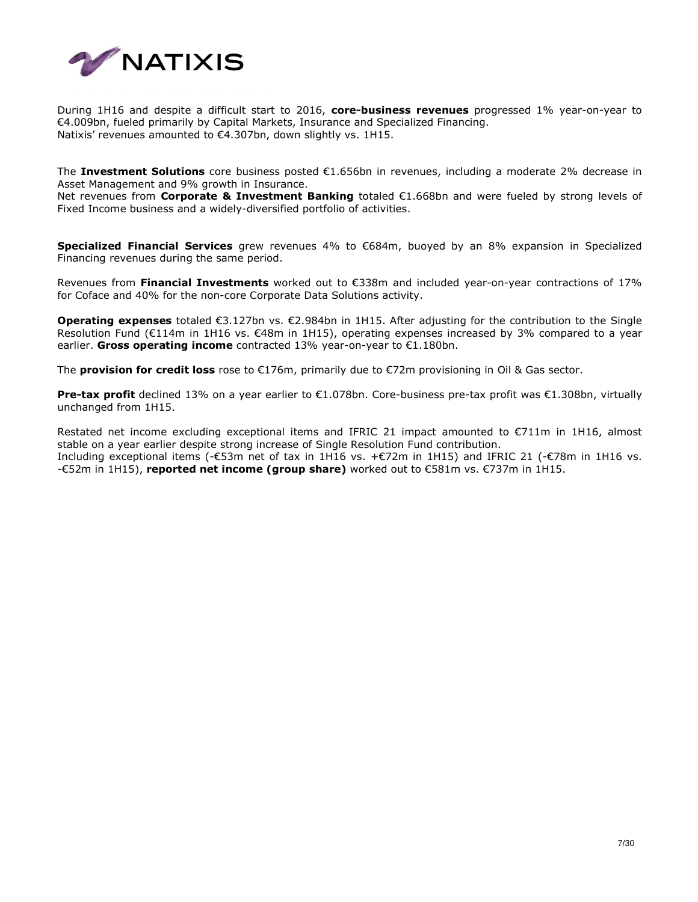

During 1H16 and despite a difficult start to 2016, **core-business revenues** progressed 1% year-on-year to €4.009bn, fueled primarily by Capital Markets, Insurance and Specialized Financing. Natixis' revenues amounted to €4.307bn, down slightly vs. 1H15.

The **Investment Solutions** core business posted €1.656bn in revenues, including a moderate 2% decrease in Asset Management and 9% growth in Insurance.

Net revenues from **Corporate & Investment Banking** totaled €1.668bn and were fueled by strong levels of Fixed Income business and a widely-diversified portfolio of activities.

**Specialized Financial Services** grew revenues 4% to €684m, buoyed by an 8% expansion in Specialized Financing revenues during the same period.

Revenues from **Financial Investments** worked out to €338m and included year-on-year contractions of 17% for Coface and 40% for the non-core Corporate Data Solutions activity.

**Operating expenses** totaled €3.127bn vs. €2.984bn in 1H15. After adjusting for the contribution to the Single Resolution Fund (€114m in 1H16 vs. €48m in 1H15), operating expenses increased by 3% compared to a year earlier. **Gross operating income** contracted 13% year-on-year to €1.180bn.

The **provision for credit loss** rose to €176m, primarily due to €72m provisioning in Oil & Gas sector.

**Pre-tax profit** declined 13% on a year earlier to €1.078bn. Core-business pre-tax profit was €1.308bn, virtually unchanged from 1H15.

Restated net income excluding exceptional items and IFRIC 21 impact amounted to €711m in 1H16, almost stable on a year earlier despite strong increase of Single Resolution Fund contribution. Including exceptional items (-€53m net of tax in 1H16 vs. +€72m in 1H15) and IFRIC 21 (-€78m in 1H16 vs. -€52m in 1H15), **reported net income (group share)** worked out to €581m vs. €737m in 1H15.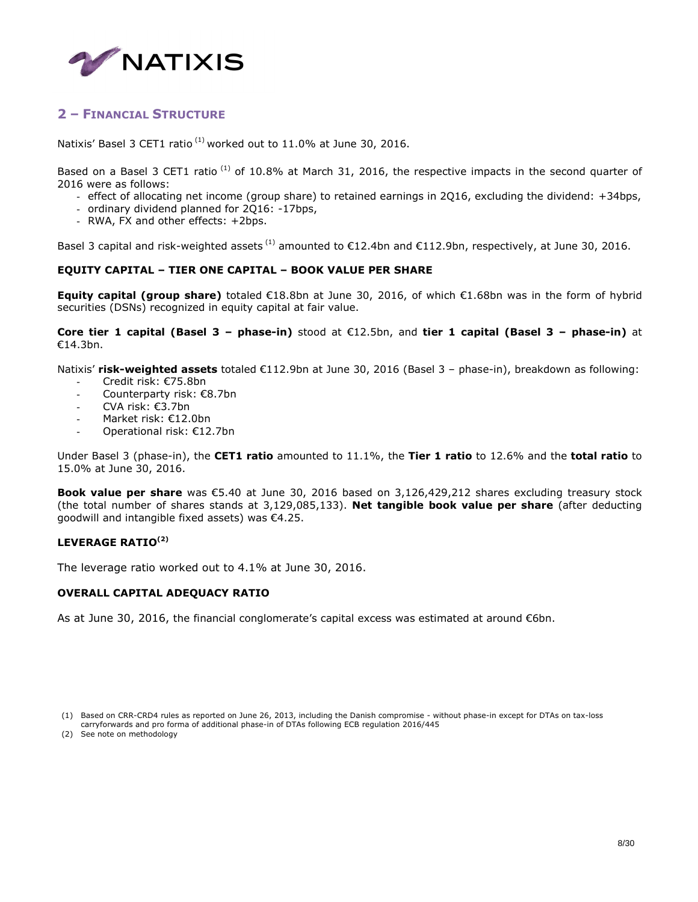

## **2 – FINANCIAL STRUCTURE**

Natixis' Basel 3 CET1 ratio  $^{(1)}$  worked out to 11.0% at June 30, 2016.

Based on a Basel 3 CET1 ratio  $^{(1)}$  of 10.8% at March 31, 2016, the respective impacts in the second quarter of 2016 were as follows:

- effect of allocating net income (group share) to retained earnings in 2Q16, excluding the dividend: +34bps,
- ordinary dividend planned for 2Q16: -17bps,
- RWA, FX and other effects: +2bps.

Basel 3 capital and risk-weighted assets  $^{(1)}$  amounted to  $\epsilon$ 12.4bn and  $\epsilon$ 112.9bn, respectively, at June 30, 2016.

### **EQUITY CAPITAL – TIER ONE CAPITAL – BOOK VALUE PER SHARE**

**Equity capital (group share)** totaled €18.8bn at June 30, 2016, of which €1.68bn was in the form of hybrid securities (DSNs) recognized in equity capital at fair value.

**Core tier 1 capital (Basel 3 – phase-in)** stood at €12.5bn, and **tier 1 capital (Basel 3 – phase-in)** at €14.3bn.

Natixis' **risk-weighted assets** totaled €112.9bn at June 30, 2016 (Basel 3 – phase-in), breakdown as following:

- Credit risk: €75.8bn
- Counterparty risk: €8.7bn
- CVA risk: €3.7bn
- Market risk: €12.0bn
- Operational risk: €12.7bn

Under Basel 3 (phase-in), the **CET1 ratio** amounted to 11.1%, the **Tier 1 ratio** to 12.6% and the **total ratio** to 15.0% at June 30, 2016.

**Book value per share** was €5.40 at June 30, 2016 based on 3,126,429,212 shares excluding treasury stock (the total number of shares stands at 3,129,085,133). **Net tangible book value per share** (after deducting goodwill and intangible fixed assets) was €4.25.

### **LEVERAGE RATIO(2)**

The leverage ratio worked out to 4.1% at June 30, 2016.

### **OVERALL CAPITAL ADEQUACY RATIO**

As at June 30, 2016, the financial conglomerate's capital excess was estimated at around  $\epsilon$ 6bn.

<sup>(1)</sup> Based on CRR-CRD4 rules as reported on June 26, 2013, including the Danish compromise - without phase-in except for DTAs on tax-loss

carryforwards and pro forma of additional phase-in of DTAs following ECB regulation 2016/445

<sup>(2)</sup> See note on methodology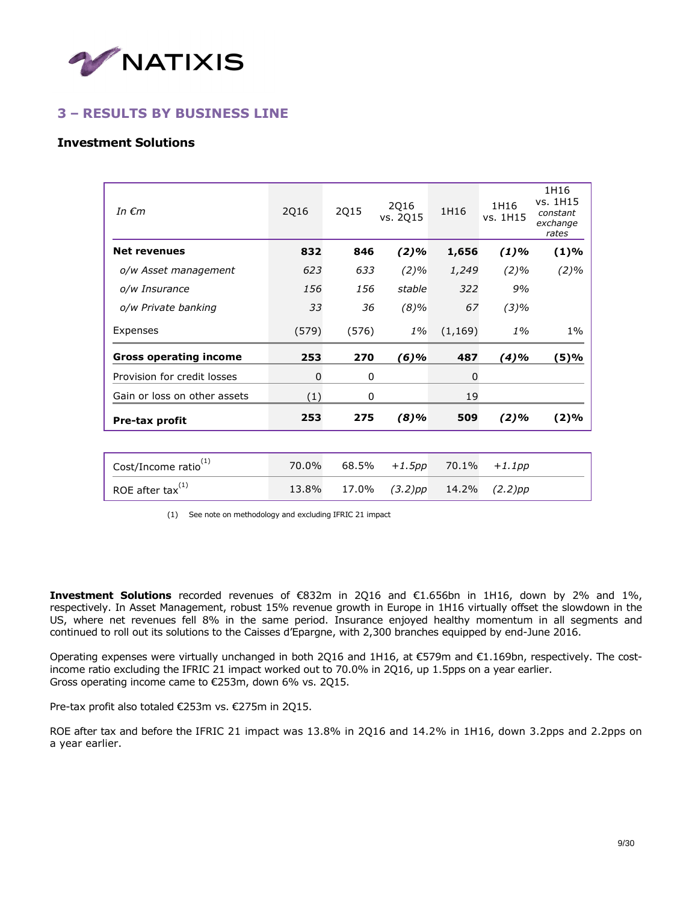

## **3 – RESULTS BY BUSINESS LINE**

### **Investment Solutions**

| In $\epsilon$ m               | 2Q16  | <b>2Q15</b> | 2Q16<br>vs. 2015 | 1H16     | 1H16<br>vs. 1H15 | 1H16<br>vs. 1H15<br>constant<br>exchange<br>rates |
|-------------------------------|-------|-------------|------------------|----------|------------------|---------------------------------------------------|
| <b>Net revenues</b>           | 832   | 846         | $(2)\%$          | 1,656    | $(1)\%$          | (1)%                                              |
| o/w Asset management          | 623   | 633         | $(2)\%$          | 1,249    | $(2)\%$          | $(2)\%$                                           |
| o/w Insurance                 | 156   | 156         | stable           | 322      | 9%               |                                                   |
| o/w Private banking           | 33    | 36          | $(8)\%$          | 67       | $(3)\%$          |                                                   |
| Expenses                      | (579) | (576)       | $1\%$            | (1, 169) | $1\%$            | $1\%$                                             |
| <b>Gross operating income</b> | 253   | 270         | (6)%             | 487      | (4)%             | (5)%                                              |
| Provision for credit losses   | 0     | 0           |                  | 0        |                  |                                                   |
| Gain or loss on other assets  | (1)   | 0           |                  | 19       |                  |                                                   |
| Pre-tax profit                | 253   | 275         | $(8)\%$          | 509      | $(2)\%$          | (2)%                                              |
|                               |       |             |                  |          |                  |                                                   |

| Cost/Income ratio $^{(1)}$ |  | 70.0% 68.5% +1.5pp 70.1% +1.1pp   |  |
|----------------------------|--|-----------------------------------|--|
| ROE after tax $^{(1)}$     |  | 13.8% 17.0% (3.2)pp 14.2% (2.2)pp |  |

(1) See note on methodology and excluding IFRIC 21 impact

**Investment Solutions** recorded revenues of €832m in 2Q16 and €1.656bn in 1H16, down by 2% and 1%, respectively. In Asset Management, robust 15% revenue growth in Europe in 1H16 virtually offset the slowdown in the US, where net revenues fell 8% in the same period. Insurance enjoyed healthy momentum in all segments and continued to roll out its solutions to the Caisses d'Epargne, with 2,300 branches equipped by end-June 2016.

Operating expenses were virtually unchanged in both 2Q16 and 1H16, at €579m and €1.169bn, respectively. The costincome ratio excluding the IFRIC 21 impact worked out to 70.0% in 2Q16, up 1.5pps on a year earlier. Gross operating income came to €253m, down 6% vs. 2Q15.

Pre-tax profit also totaled €253m vs. €275m in 2Q15.

ROE after tax and before the IFRIC 21 impact was 13.8% in 2Q16 and 14.2% in 1H16, down 3.2pps and 2.2pps on a year earlier.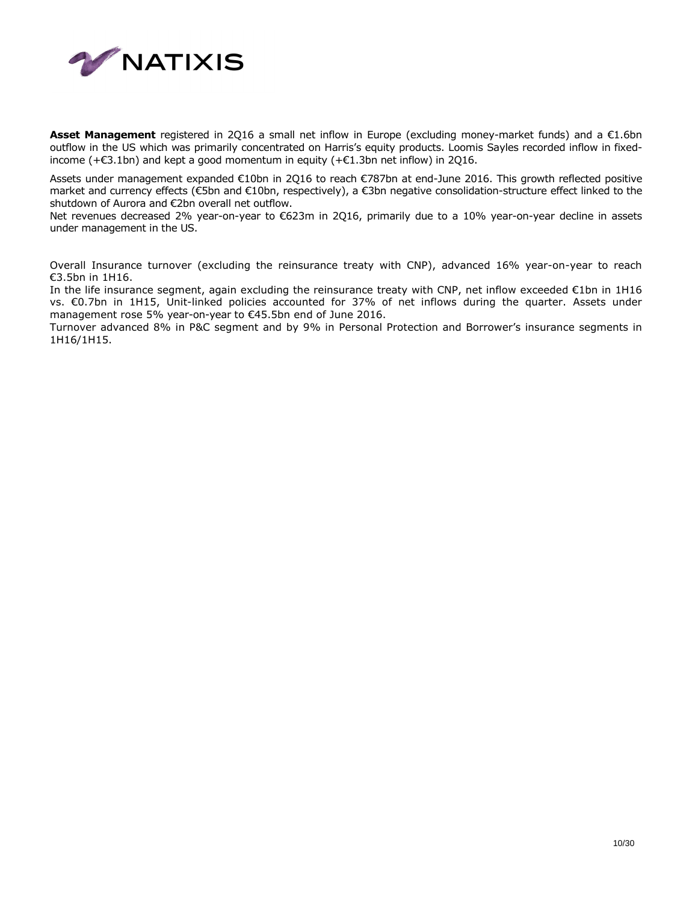

**Asset Management** registered in 2Q16 a small net inflow in Europe (excluding money-market funds) and a €1.6bn outflow in the US which was primarily concentrated on Harris's equity products. Loomis Sayles recorded inflow in fixedincome ( $+\in$ 3.1bn) and kept a good momentum in equity ( $+\in$ 1.3bn net inflow) in 2Q16.

Assets under management expanded €10bn in 2Q16 to reach €787bn at end-June 2016. This growth reflected positive market and currency effects (€5bn and €10bn, respectively), a €3bn negative consolidation-structure effect linked to the shutdown of Aurora and €2bn overall net outflow.

Net revenues decreased 2% year-on-year to €623m in 2Q16, primarily due to a 10% year-on-year decline in assets under management in the US.

Overall Insurance turnover (excluding the reinsurance treaty with CNP), advanced 16% year-on-year to reach €3.5bn in 1H16.

In the life insurance segment, again excluding the reinsurance treaty with CNP, net inflow exceeded €1bn in 1H16 vs. €0.7bn in 1H15, Unit-linked policies accounted for 37% of net inflows during the quarter. Assets under management rose 5% year-on-year to €45.5bn end of June 2016.

Turnover advanced 8% in P&C segment and by 9% in Personal Protection and Borrower's insurance segments in 1H16/1H15.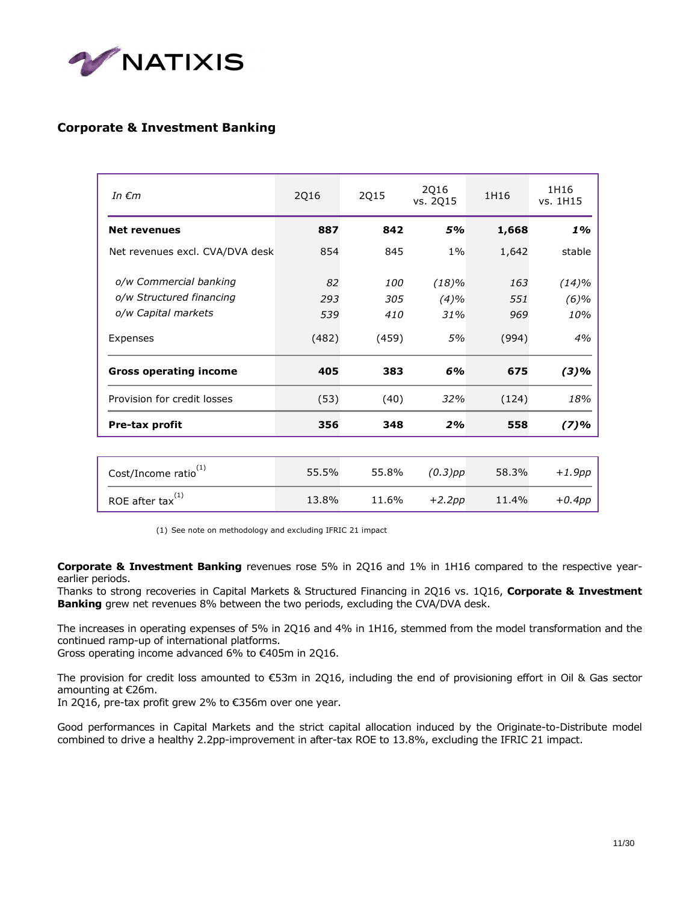

## **Corporate & Investment Banking**

| 2Q16             | 2015                     | 2Q16<br>vs. 2Q15     | 1H16              | 1H16<br>vs. 1H15        |
|------------------|--------------------------|----------------------|-------------------|-------------------------|
| 887              | 842                      | 5%                   | 1,668             | 1%                      |
| 854              | 845                      | $1\%$                | 1,642             | stable                  |
| 82<br>293<br>539 | <i>100</i><br>305<br>410 | (18)%<br>(4)%<br>31% | 163<br>551<br>969 | (14)%<br>$(6)\%$<br>10% |
| (482)            | (459)                    | 5%                   | (994)             | 4%                      |
| 405              | 383                      | 6%                   | 675               | (3)%                    |
| (53)             | (40)                     | 32%                  | (124)             | 18%                     |
| 356              | 348                      | 2%                   | 558               | (7)%                    |
|                  |                          |                      |                   |                         |

| Cost/Income ratio <sup>(1)</sup> | 55.5% | 55.8% | $(0.3)$ pp | 58.3% | +1.9pp    |
|----------------------------------|-------|-------|------------|-------|-----------|
| ROE after tax $^{(1)}$           | 13.8% | 11.6% | $+2.2pp$   | 11.4% | $+0.4$ pp |

(1) See note on methodology and excluding IFRIC 21 impact

**Corporate & Investment Banking** revenues rose 5% in 2Q16 and 1% in 1H16 compared to the respective yearearlier periods.

Thanks to strong recoveries in Capital Markets & Structured Financing in 2Q16 vs. 1Q16, **Corporate & Investment Banking** grew net revenues 8% between the two periods, excluding the CVA/DVA desk.

The increases in operating expenses of 5% in 2Q16 and 4% in 1H16, stemmed from the model transformation and the continued ramp-up of international platforms.

Gross operating income advanced 6% to €405m in 2Q16.

The provision for credit loss amounted to €53m in 2Q16, including the end of provisioning effort in Oil & Gas sector amounting at €26m.

In 2Q16, pre-tax profit grew 2% to €356m over one year.

Good performances in Capital Markets and the strict capital allocation induced by the Originate-to-Distribute model combined to drive a healthy 2.2pp-improvement in after-tax ROE to 13.8%, excluding the IFRIC 21 impact.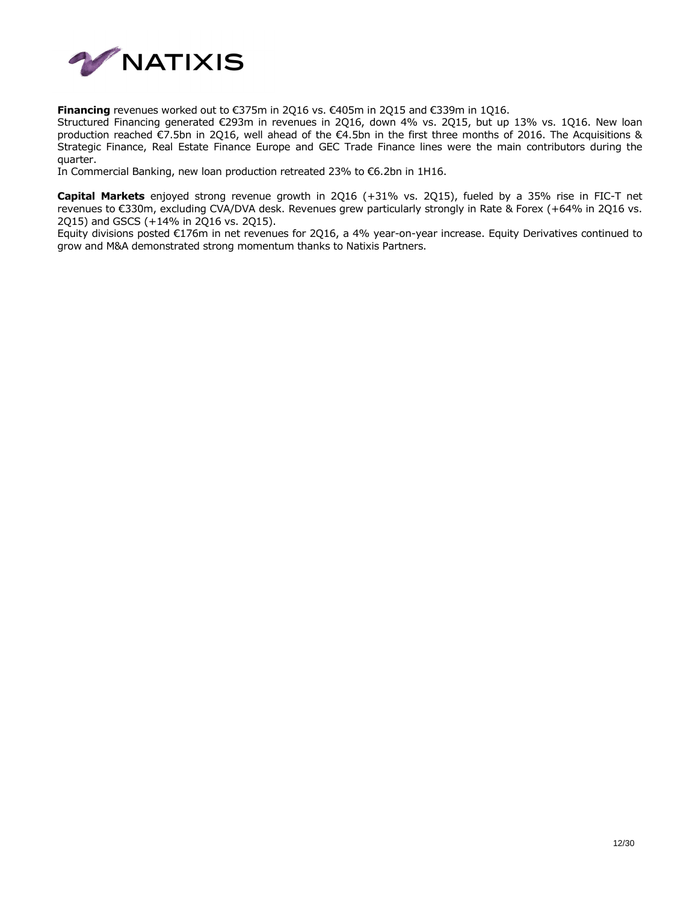

**Financing** revenues worked out to €375m in 2Q16 vs. €405m in 2Q15 and €339m in 1Q16.

Structured Financing generated €293m in revenues in 2Q16, down 4% vs. 2Q15, but up 13% vs. 1Q16. New loan production reached €7.5bn in 2Q16, well ahead of the €4.5bn in the first three months of 2016. The Acquisitions & Strategic Finance, Real Estate Finance Europe and GEC Trade Finance lines were the main contributors during the quarter.

In Commercial Banking, new loan production retreated 23% to €6.2bn in 1H16.

**Capital Markets** enjoyed strong revenue growth in 2Q16 (+31% vs. 2Q15), fueled by a 35% rise in FIC-T net revenues to €330m, excluding CVA/DVA desk. Revenues grew particularly strongly in Rate & Forex (+64% in 2Q16 vs. 2Q15) and GSCS (+14% in 2Q16 vs. 2Q15).

Equity divisions posted €176m in net revenues for 2Q16, a 4% year-on-year increase. Equity Derivatives continued to grow and M&A demonstrated strong momentum thanks to Natixis Partners.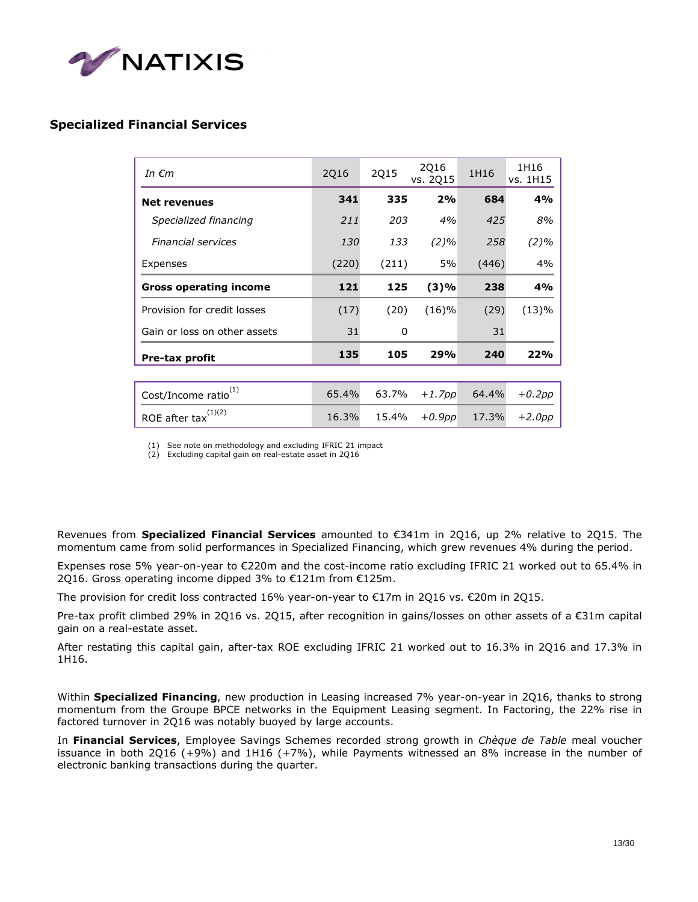

## **Specialized Financial Services**

| In $\epsilon$ m                 | 2Q16  | 2Q15  | 2Q16<br>vs. 2015 | 1H16  | 1H16<br>vs. 1H15 |
|---------------------------------|-------|-------|------------------|-------|------------------|
| <b>Net revenues</b>             | 341   | 335   | 2%               | 684   | 4%               |
| Specialized financing           | 211   | 203   | 4%               | 425   | 8%               |
| <b>Financial services</b>       | 130   | 133   | $(2)\%$          | 258   | $(2)\%$          |
| Expenses                        | (220) | (211) | 5%               | (446) | 4%               |
| <b>Gross operating income</b>   | 121   | 125   | (3)%             | 238   | 4%               |
| Provision for credit losses     | (17)  | (20)  | (16)%            | (29)  | (13)%            |
| Gain or loss on other assets    | 31    | 0     |                  | 31    |                  |
| <b>Pre-tax profit</b>           | 135   | 105   | 29%              | 240   | 22%              |
|                                 |       |       |                  |       |                  |
| (1)<br>Cost/Income ratio        | 65.4% | 63.7% | $+1.7$ pp        | 64.4% | $+0.2pp$         |
| ROE after $\text{tax}^{(1)(2)}$ | 16.3% | 15.4% | $+0.9pp$         | 17.3% | $+2.0$ pp        |

(1) See note on methodology and excluding IFRIC 21 impact

(2) Excluding capital gain on real-estate asset in 2Q16

Revenues from **Specialized Financial Services** amounted to €341m in 2Q16, up 2% relative to 2Q15. The momentum came from solid performances in Specialized Financing, which grew revenues 4% during the period.

Expenses rose 5% year-on-year to €220m and the cost-income ratio excluding IFRIC 21 worked out to 65.4% in 2Q16. Gross operating income dipped 3% to €121m from €125m.

The provision for credit loss contracted 16% year-on-year to €17m in 2Q16 vs. €20m in 2Q15.

Pre-tax profit climbed 29% in 2Q16 vs. 2Q15, after recognition in gains/losses on other assets of a €31m capital gain on a real-estate asset.

After restating this capital gain, after-tax ROE excluding IFRIC 21 worked out to 16.3% in 2Q16 and 17.3% in 1H16.

Within **Specialized Financing**, new production in Leasing increased 7% year-on-year in 2Q16, thanks to strong momentum from the Groupe BPCE networks in the Equipment Leasing segment. In Factoring, the 22% rise in factored turnover in 2Q16 was notably buoyed by large accounts.

In **Financial Services**, Employee Savings Schemes recorded strong growth in *Chèque de Table* meal voucher issuance in both 2Q16 (+9%) and 1H16 (+7%), while Payments witnessed an 8% increase in the number of electronic banking transactions during the quarter.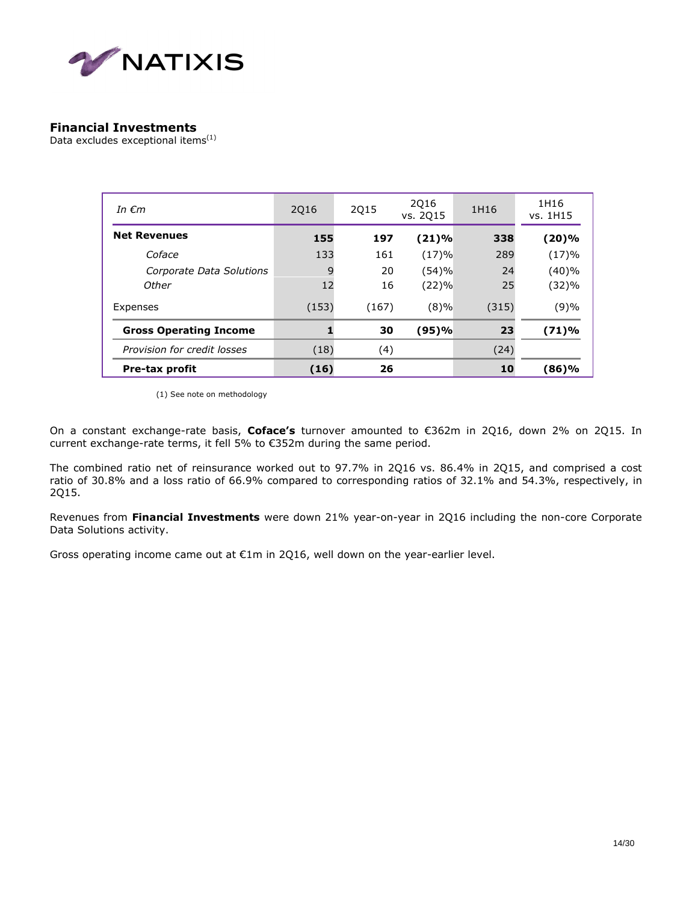

### **Financial Investments**

Data excludes exceptional items<sup>(1)</sup>

| In $\epsilon$ m               | 2016  | 2015  | 2016<br>vs. 2015 | 1H16  | 1H16<br>vs. 1H15 |
|-------------------------------|-------|-------|------------------|-------|------------------|
| <b>Net Revenues</b>           | 155   | 197   | (21)%            | 338   | (20)%            |
| Coface                        | 133   | 161   | (17)%            | 289   | (17)%            |
| Corporate Data Solutions      | 9     | 20    | (54)%            | 24    | (40)%            |
| Other                         | 12    | 16    | (22)%            | 25    | (32)%            |
| Expenses                      | (153) | (167) | (8)%             | (315) | (9)%             |
| <b>Gross Operating Income</b> |       | 30    | (95)%            | 23    | (71)%            |
| Provision for credit losses   | (18)  | (4)   |                  | (24)  |                  |
| <b>Pre-tax profit</b>         | (16)  | 26    |                  | 10    | (86)%            |

(1) See note on methodology

On a constant exchange-rate basis, **Coface's** turnover amounted to €362m in 2Q16, down 2% on 2Q15. In current exchange-rate terms, it fell 5% to €352m during the same period.

The combined ratio net of reinsurance worked out to 97.7% in 2Q16 vs. 86.4% in 2Q15, and comprised a cost ratio of 30.8% and a loss ratio of 66.9% compared to corresponding ratios of 32.1% and 54.3%, respectively, in 2Q15.

Revenues from **Financial Investments** were down 21% year-on-year in 2Q16 including the non-core Corporate Data Solutions activity.

Gross operating income came out at €1m in 2Q16, well down on the year-earlier level.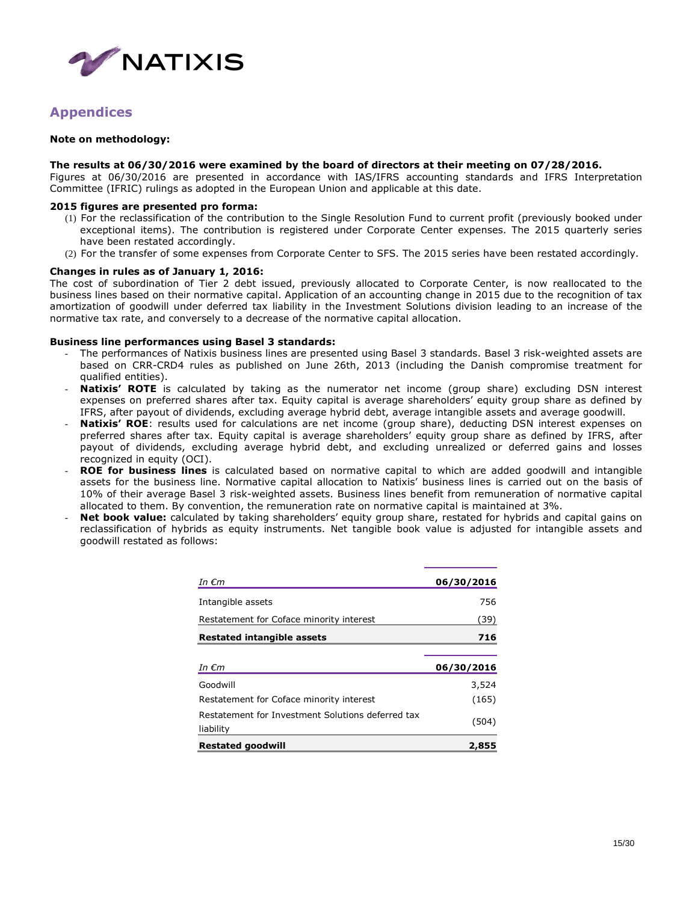

## **Appendices**

#### **Note on methodology:**

#### **The results at 06/30/2016 were examined by the board of directors at their meeting on 07/28/2016.**

Figures at 06/30/2016 are presented in accordance with IAS/IFRS accounting standards and IFRS Interpretation Committee (IFRIC) rulings as adopted in the European Union and applicable at this date.

#### **2015 figures are presented pro forma:**

- (1) For the reclassification of the contribution to the Single Resolution Fund to current profit (previously booked under exceptional items). The contribution is registered under Corporate Center expenses. The 2015 quarterly series have been restated accordingly.
- (2) For the transfer of some expenses from Corporate Center to SFS. The 2015 series have been restated accordingly.

#### **Changes in rules as of January 1, 2016:**

The cost of subordination of Tier 2 debt issued, previously allocated to Corporate Center, is now reallocated to the business lines based on their normative capital. Application of an accounting change in 2015 due to the recognition of tax amortization of goodwill under deferred tax liability in the Investment Solutions division leading to an increase of the normative tax rate, and conversely to a decrease of the normative capital allocation.

#### **Business line performances using Basel 3 standards:**

- The performances of Natixis business lines are presented using Basel 3 standards. Basel 3 risk-weighted assets are based on CRR-CRD4 rules as published on June 26th, 2013 (including the Danish compromise treatment for qualified entities).
- Natixis' ROTE is calculated by taking as the numerator net income (group share) excluding DSN interest expenses on preferred shares after tax. Equity capital is average shareholders' equity group share as defined by IFRS, after payout of dividends, excluding average hybrid debt, average intangible assets and average goodwill.
- **Natixis' ROE**: results used for calculations are net income (group share), deducting DSN interest expenses on preferred shares after tax. Equity capital is average shareholders' equity group share as defined by IFRS, after payout of dividends, excluding average hybrid debt, and excluding unrealized or deferred gains and losses recognized in equity (OCI).
- ROE for business lines is calculated based on normative capital to which are added goodwill and intangible assets for the business line. Normative capital allocation to Natixis' business lines is carried out on the basis of 10% of their average Basel 3 risk-weighted assets. Business lines benefit from remuneration of normative capital allocated to them. By convention, the remuneration rate on normative capital is maintained at 3%.
- Net book value: calculated by taking shareholders' equity group share, restated for hybrids and capital gains on reclassification of hybrids as equity instruments. Net tangible book value is adjusted for intangible assets and goodwill restated as follows:

| In €m                                                          | 06/30/2016     |
|----------------------------------------------------------------|----------------|
| Intangible assets                                              | 756            |
| Restatement for Coface minority interest                       | (39)           |
| <b>Restated intangible assets</b>                              | 716            |
| In $\epsilon$ m                                                | 06/30/2016     |
|                                                                |                |
| Goodwill                                                       |                |
| Restatement for Coface minority interest                       | 3,524<br>(165) |
| Restatement for Investment Solutions deferred tax<br>liability | (504)          |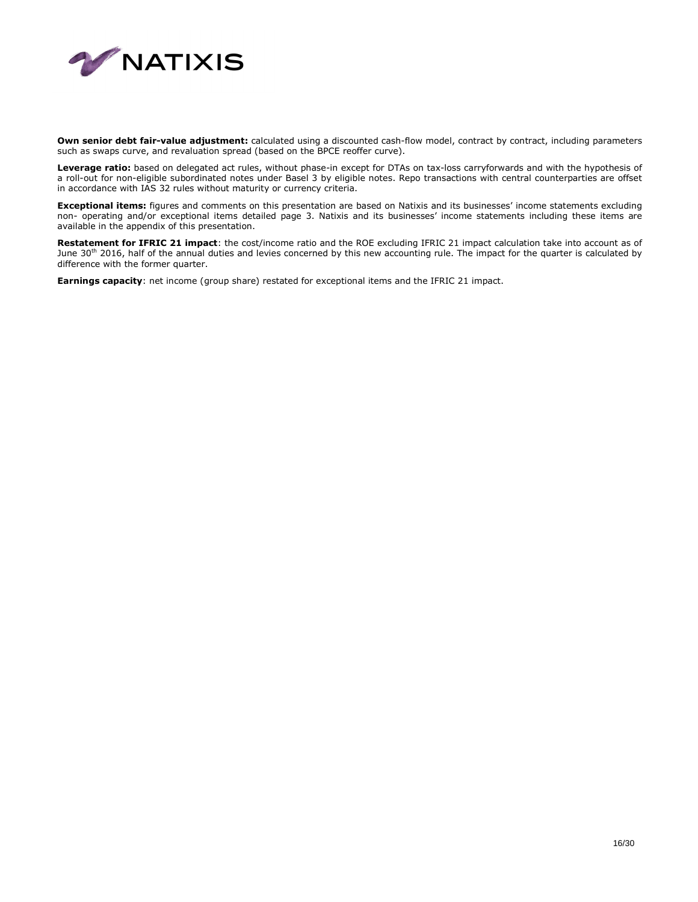

Own senior debt fair-value adjustment: calculated using a discounted cash-flow model, contract by contract, including parameters such as swaps curve, and revaluation spread (based on the BPCE reoffer curve).

**Leverage ratio:** based on delegated act rules, without phase-in except for DTAs on tax-loss carryforwards and with the hypothesis of a roll-out for non-eligible subordinated notes under Basel 3 by eligible notes. Repo transactions with central counterparties are offset in accordance with IAS 32 rules without maturity or currency criteria.

**Exceptional items:** figures and comments on this presentation are based on Natixis and its businesses' income statements excluding non- operating and/or exceptional items detailed page 3. Natixis and its businesses' income statements including these items are available in the appendix of this presentation.

**Restatement for IFRIC 21 impact**: the cost/income ratio and the ROE excluding IFRIC 21 impact calculation take into account as of June 30<sup>th</sup> 2016, half of the annual duties and levies concerned by this new accounting rule. The impact for the quarter is calculated by difference with the former quarter.

**Earnings capacity**: net income (group share) restated for exceptional items and the IFRIC 21 impact.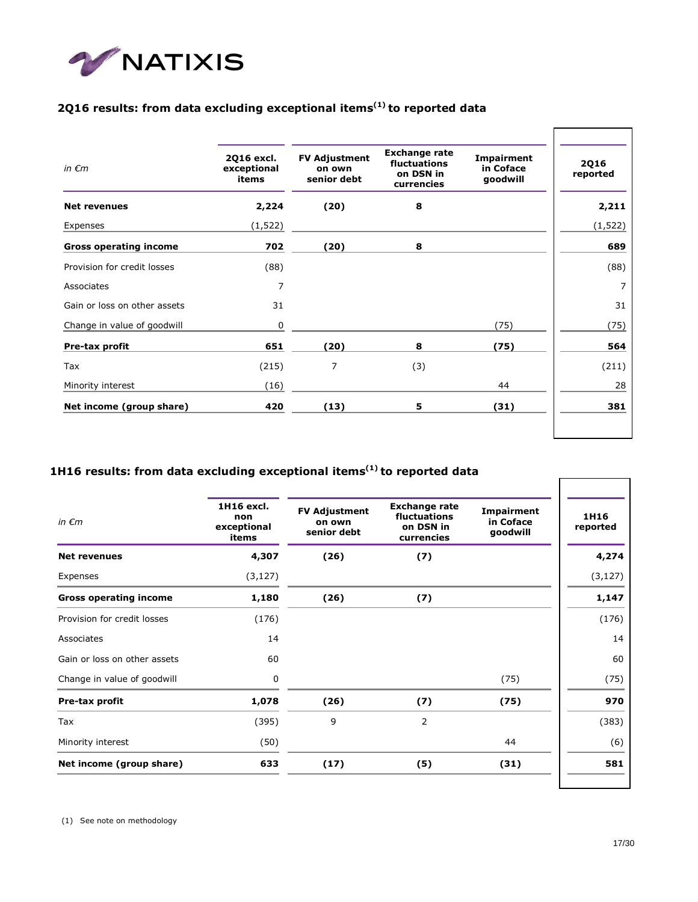

## **2Q16 results: from data excluding exceptional items(1) to reported data**

| in $\epsilon$ m               | 2Q16 excl.<br>exceptional<br>items | <b>FV Adjustment</b><br>on own<br>senior debt | <b>Exchange rate</b><br>fluctuations<br>on DSN in<br>currencies | Impairment<br>in Coface<br>goodwill | <b>2Q16</b><br>reported |
|-------------------------------|------------------------------------|-----------------------------------------------|-----------------------------------------------------------------|-------------------------------------|-------------------------|
| <b>Net revenues</b>           | 2,224                              | (20)                                          | 8                                                               |                                     | 2,211                   |
| Expenses                      | (1, 522)                           |                                               |                                                                 |                                     | (1, 522)                |
| <b>Gross operating income</b> | 702                                | (20)                                          | 8                                                               |                                     | 689                     |
| Provision for credit losses   | (88)                               |                                               |                                                                 |                                     | (88)                    |
| Associates                    | 7                                  |                                               |                                                                 |                                     | 7                       |
| Gain or loss on other assets  | 31                                 |                                               |                                                                 |                                     | 31                      |
| Change in value of goodwill   | 0                                  |                                               |                                                                 | (75)                                | (75)                    |
| Pre-tax profit                | 651                                | (20)                                          | 8                                                               | (75)                                | 564                     |
| Tax                           | (215)                              | 7                                             | (3)                                                             |                                     | (211)                   |
| Minority interest             | (16)                               |                                               |                                                                 | 44                                  | 28                      |
| Net income (group share)      | 420                                | (13)                                          | 5                                                               | (31)                                | 381                     |
|                               |                                    |                                               |                                                                 |                                     |                         |

## **1H16 results: from data excluding exceptional items(1) to reported data**

| in $\epsilon$ m               | 1H16 excl.<br>non<br>exceptional<br>items | <b>FV Adjustment</b><br>on own<br>senior debt | <b>Exchange rate</b><br>fluctuations<br>on DSN in<br>currencies | Impairment<br>in Coface<br>goodwill | 1H16<br>reported |
|-------------------------------|-------------------------------------------|-----------------------------------------------|-----------------------------------------------------------------|-------------------------------------|------------------|
| <b>Net revenues</b>           | 4,307                                     | (26)                                          | (7)                                                             |                                     | 4,274            |
| Expenses                      | (3, 127)                                  |                                               |                                                                 |                                     | (3, 127)         |
| <b>Gross operating income</b> | 1,180                                     | (26)                                          | (7)                                                             |                                     | 1,147            |
| Provision for credit losses   | (176)                                     |                                               |                                                                 |                                     | (176)            |
| Associates                    | 14                                        |                                               |                                                                 |                                     | 14               |
| Gain or loss on other assets  | 60                                        |                                               |                                                                 |                                     | 60               |
| Change in value of goodwill   | 0                                         |                                               |                                                                 | (75)                                | (75)             |
| Pre-tax profit                | 1,078                                     | (26)                                          | (7)                                                             | (75)                                | 970              |
| Tax                           | (395)                                     | 9                                             | 2                                                               |                                     | (383)            |
| Minority interest             | (50)                                      |                                               |                                                                 | 44                                  | (6)              |
| Net income (group share)      | 633                                       | (17)                                          | (5)                                                             | (31)                                | 581              |
|                               |                                           |                                               |                                                                 |                                     |                  |

(1) See note on methodology

٦

Г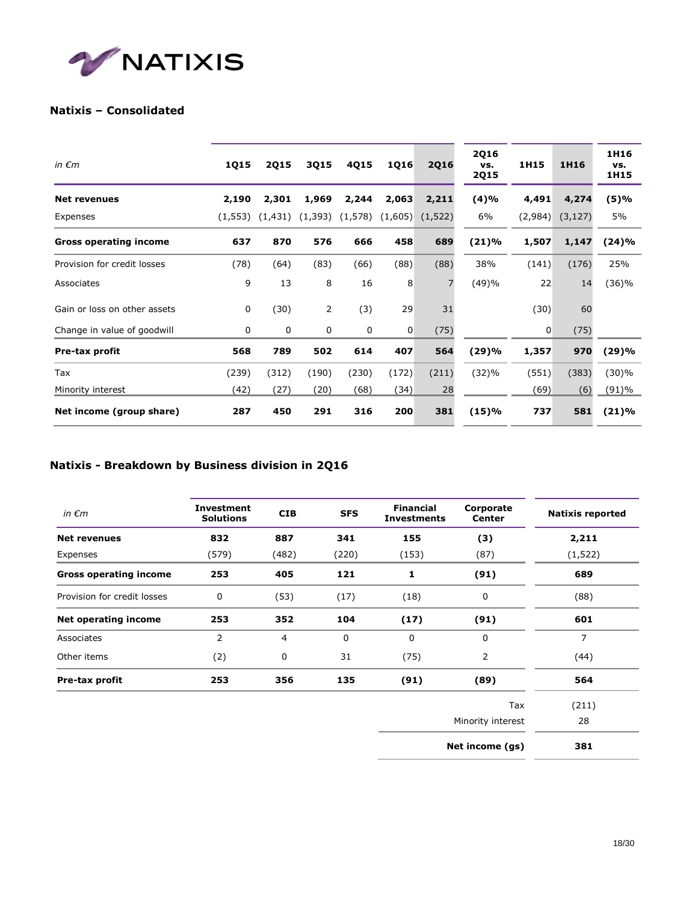

## **Natixis – Consolidated**

| in $\epsilon$ m               | <b>1Q15</b> | <b>2Q15</b> | 3Q15        | 4Q15    | <b>1Q16</b> | <b>2Q16</b> | <b>2Q16</b><br>vs.<br><b>2Q15</b> | 1H15    | 1H16     | 1H16<br>VS.<br>1H15 |
|-------------------------------|-------------|-------------|-------------|---------|-------------|-------------|-----------------------------------|---------|----------|---------------------|
| <b>Net revenues</b>           | 2,190       | 2,301       | 1,969       | 2,244   | 2,063       | 2,211       | (4)%                              | 4,491   | 4,274    | (5)%                |
| Expenses                      | (1, 553)    | (1, 431)    | (1, 393)    | (1,578) | (1,605)     | (1,522)     | 6%                                | (2,984) | (3, 127) | 5%                  |
| <b>Gross operating income</b> | 637         | 870         | 576         | 666     | 458         | 689         | (21)%                             | 1,507   | 1,147    | (24)%               |
| Provision for credit losses   | (78)        | (64)        | (83)        | (66)    | (88)        | (88)        | 38%                               | (141)   | (176)    | 25%                 |
| Associates                    | 9           | 13          | 8           | 16      | 8           | 7           | (49)%                             | 22      | 14       | (36)%               |
| Gain or loss on other assets  | 0           | (30)        | 2           | (3)     | 29          | 31          |                                   | (30)    | 60       |                     |
| Change in value of goodwill   | 0           | $\mathbf 0$ | $\mathbf 0$ | 0       | 0           | (75)        |                                   | 0       | (75)     |                     |
| Pre-tax profit                | 568         | 789         | 502         | 614     | 407         | 564         | (29)%                             | 1,357   | 970      | (29)%               |
| Tax                           | (239)       | (312)       | (190)       | (230)   | (172)       | (211)       | (32)%                             | (551)   | (383)    | (30)%               |
| Minority interest             | (42)        | (27)        | (20)        | (68)    | (34)        | 28          |                                   | (69)    | (6)      | $(91) \%$           |
| Net income (group share)      | 287         | 450         | 291         | 316     | 200         | 381         | (15)%                             | 737     | 581      | (21)%               |

## **Natixis - Breakdown by Business division in 2Q16**

| in $\epsilon$ m               | <b>Investment</b><br><b>Solutions</b> | <b>CIB</b> | <b>SFS</b> | <b>Financial</b><br><b>Investments</b> | Corporate<br>Center | <b>Natixis reported</b> |
|-------------------------------|---------------------------------------|------------|------------|----------------------------------------|---------------------|-------------------------|
| <b>Net revenues</b>           | 832                                   | 887        | 341        | 155                                    | (3)                 | 2,211                   |
| Expenses                      | (579)                                 | (482)      | (220)      | (153)                                  | (87)                | (1, 522)                |
| <b>Gross operating income</b> | 253                                   | 405        | 121        | 1                                      | (91)                | 689                     |
| Provision for credit losses   | 0                                     | (53)       | (17)       | (18)                                   | 0                   | (88)                    |
| <b>Net operating income</b>   | 253                                   | 352        | 104        | (17)                                   | (91)                | 601                     |
| Associates                    | 2                                     | 4          | 0          | $\mathbf 0$                            | $\mathbf{0}$        | 7                       |
| Other items                   | (2)                                   | 0          | 31         | (75)                                   | 2                   | (44)                    |
| Pre-tax profit                | 253                                   | 356        | 135        | (91)                                   | (89)                | 564                     |
|                               |                                       |            |            |                                        | Tax                 | (211)                   |
|                               |                                       |            |            |                                        | Minority interest   | 28                      |
|                               |                                       |            |            |                                        | Net income (gs)     | 381                     |
|                               |                                       |            |            |                                        |                     |                         |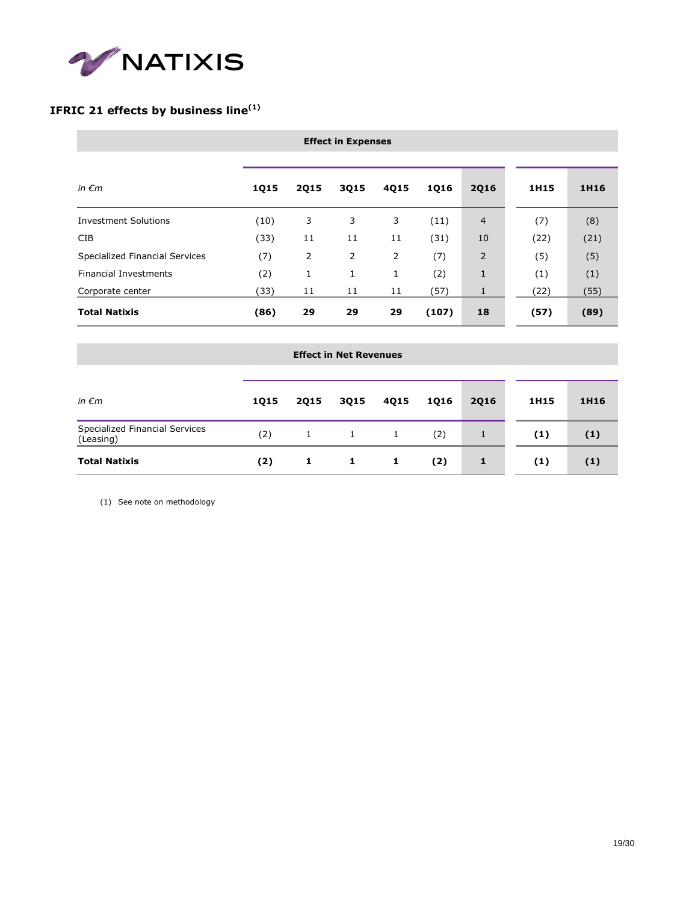

## **IFRIC 21 effects by business line(1)**

| in $\epsilon$ m                | <b>1Q15</b> | <b>2Q15</b> | 3Q15 | 4Q15 | <b>1Q16</b> | <b>2Q16</b>    | 1H15 | 1H16 |
|--------------------------------|-------------|-------------|------|------|-------------|----------------|------|------|
| <b>Investment Solutions</b>    | (10)        | 3           | 3    | 3    | (11)        | $\overline{4}$ | (7)  | (8)  |
| CIB                            | (33)        | 11          | 11   | 11   | (31)        | 10             | (22) | (21) |
| Specialized Financial Services | (7)         | 2           | 2    | 2    | (7)         | 2              | (5)  | (5)  |
| <b>Financial Investments</b>   | (2)         | 1           | 1    | 1    | (2)         | 1              | (1)  | (1)  |
| Corporate center               | (33)        | 11          | 11   | 11   | (57)        | 1              | (22) | (55) |
| <b>Total Natixis</b>           | (86)        | 29          | 29   | 29   | (107)       | 18             | (57) | (89) |

| in $\epsilon$ m                             | <b>1Q15</b> | <b>2Q15</b>  | 3Q15         | 4Q15         | <b>1Q16</b> | <b>2Q16</b> | 1H15 | 1H16 |
|---------------------------------------------|-------------|--------------|--------------|--------------|-------------|-------------|------|------|
| Specialized Financial Services<br>(Leasing) | (2)         | $\mathbf{1}$ | $\mathbf{1}$ | $\mathbf{1}$ | (2)         | 1           | (1)  | (1)  |
| <b>Total Natixis</b>                        | (2)         | 1            | 1            | 1            | (2)         | 1           | (1)  | (1)  |

(1) See note on methodology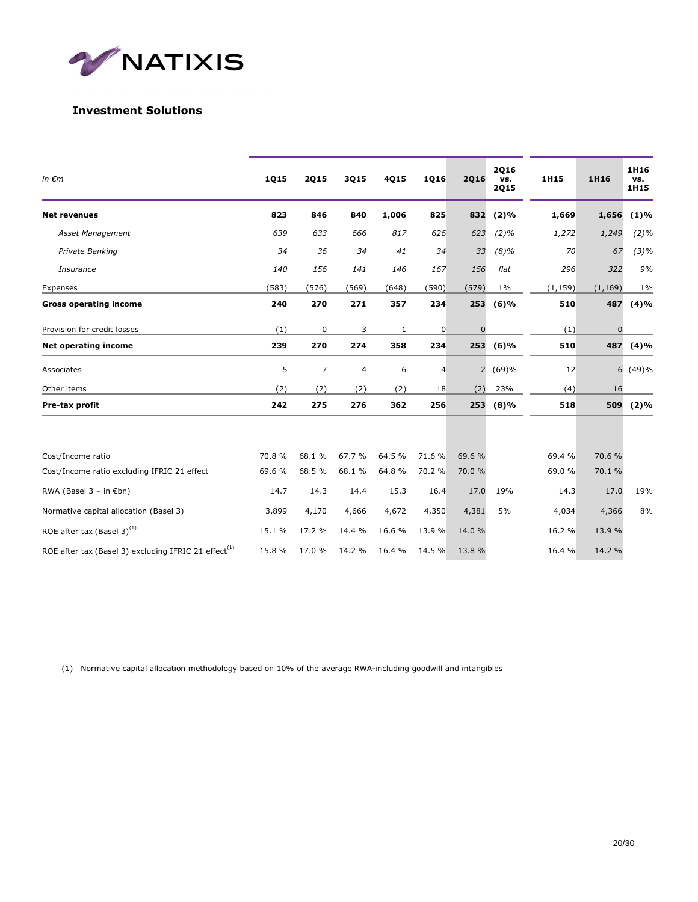

## **Investment Solutions**

| in $\epsilon$ m                                                  | 1Q15   | <b>2Q15</b> | 3Q15                     | 4Q15   | 1Q16        | <b>2Q16</b>    | <b>2Q16</b><br>vs.<br><b>2Q15</b> | 1H15     | 1H16         | 1H16<br>vs.<br>1H15 |
|------------------------------------------------------------------|--------|-------------|--------------------------|--------|-------------|----------------|-----------------------------------|----------|--------------|---------------------|
| <b>Net revenues</b>                                              | 823    | 846         | 840                      | 1,006  | 825         | 832            | $(2)\%$                           | 1,669    | 1,656        | (1)%                |
| Asset Management                                                 | 639    | 633         | 666                      | 817    | 626         | 623            | $(2)\%$                           | 1,272    | 1,249        | $(2)\%$             |
| Private Banking                                                  | 34     | 36          | 34                       | 41     | 34          | 33             | $(8)\%$                           | 70       | 67           | $(3)\%$             |
| Insurance                                                        | 140    | 156         | 141                      | 146    | 167         | 156            | flat                              | 296      | 322          | 9%                  |
| Expenses                                                         | (583)  | (576)       | (569)                    | (648)  | (590)       | (579)          | $1\%$                             | (1, 159) | (1, 169)     | 1%                  |
| <b>Gross operating income</b>                                    | 240    | 270         | 271                      | 357    | 234         |                | 253 (6)%                          | 510      | 487          | (4)%                |
| Provision for credit losses                                      | (1)    | 0           | 3                        | 1      | $\mathbf 0$ | 0              |                                   | (1)      | $\mathbf{0}$ |                     |
| <b>Net operating income</b>                                      | 239    | 270         | 274                      | 358    | 234         | 253            | (6)%                              | 510      | 487          | (4)%                |
| Associates                                                       | 5      | 7           | $\overline{\mathcal{L}}$ | 6      | 4           | $\overline{2}$ | (69)%                             | 12       | 6            | (49)%               |
| Other items                                                      | (2)    | (2)         | (2)                      | (2)    | 18          | (2)            | 23%                               | (4)      | 16           |                     |
| Pre-tax profit                                                   | 242    | 275         | 276                      | 362    | 256         | 253            | (8)%                              | 518      | 509          | (2)%                |
|                                                                  |        |             |                          |        |             |                |                                   |          |              |                     |
| Cost/Income ratio                                                | 70.8 % | 68.1 %      | 67.7 %                   | 64.5 % | 71.6%       | 69.6 %         |                                   | 69.4 %   | 70.6 %       |                     |
| Cost/Income ratio excluding IFRIC 21 effect                      | 69.6 % | 68.5 %      | 68.1 %                   | 64.8%  | 70.2 %      | 70.0 %         |                                   | 69.0 %   | 70.1 %       |                     |
| RWA (Basel $3 - in \in$ bn)                                      | 14.7   | 14.3        | 14.4                     | 15.3   | 16.4        | 17.0           | 19%                               | 14.3     | 17.0         | 19%                 |
| Normative capital allocation (Basel 3)                           | 3,899  | 4,170       | 4,666                    | 4,672  | 4,350       | 4,381          | 5%                                | 4,034    | 4,366        | 8%                  |
| ROE after tax (Basel 3) <sup>(1)</sup>                           | 15.1 % | 17.2 %      | 14.4 %                   | 16.6 % | 13.9%       | 14.0 %         |                                   | 16.2 %   | 13.9 %       |                     |
| ROE after tax (Basel 3) excluding IFRIC 21 effect <sup>(1)</sup> | 15.8 % | 17.0 %      | 14.2 %                   | 16.4 % | 14.5 %      | 13.8 %         |                                   | 16.4 %   | 14.2 %       |                     |

(1) Normative capital allocation methodology based on 10% of the average RWA-including goodwill and intangibles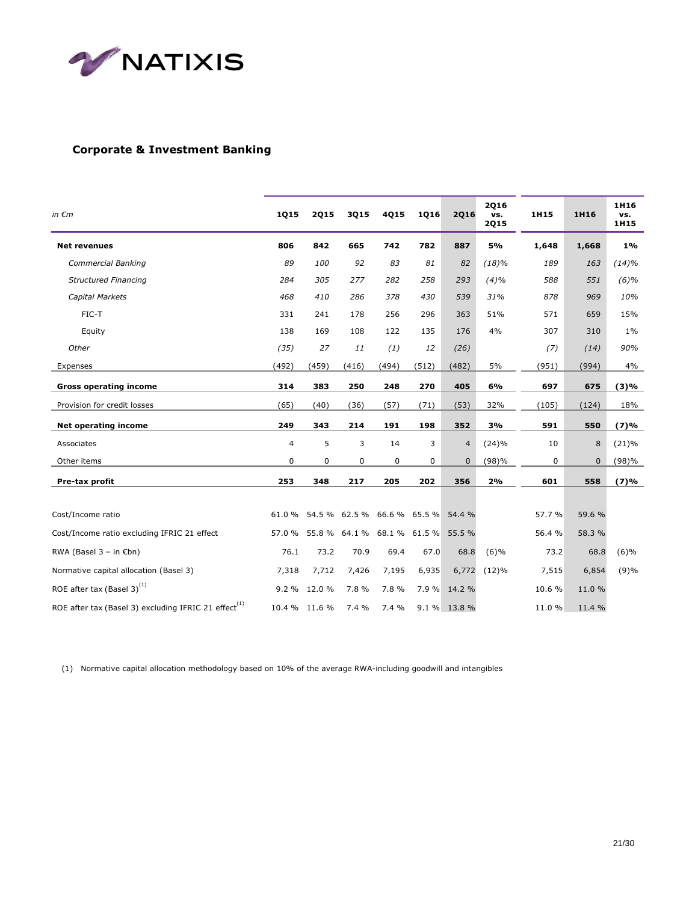

## **Corporate & Investment Banking**

| in $\epsilon$ m                                                  | 1Q15   | <b>2Q15</b>   | 3Q15  | 4Q15                               | 1Q16  | <b>2Q16</b>    | 2Q16<br>vs.<br><b>2Q15</b> | 1H15   | 1H16   | 1H16<br>vs.<br>1H15 |
|------------------------------------------------------------------|--------|---------------|-------|------------------------------------|-------|----------------|----------------------------|--------|--------|---------------------|
| <b>Net revenues</b>                                              | 806    | 842           | 665   | 742                                | 782   | 887            | 5%                         | 1,648  | 1,668  | $1\%$               |
| Commercial Banking                                               | 89     | 100           | 92    | 83                                 | 81    | 82             | (18)%                      | 189    | 163    | (14)%               |
| <b>Structured Financing</b>                                      | 284    | 305           | 277   | 282                                | 258   | 293            | (4)%                       | 588    | 551    | (6)%                |
| Capital Markets                                                  | 468    | 410           | 286   | 378                                | 430   | 539            | 31%                        | 878    | 969    | 10%                 |
| FIC-T                                                            | 331    | 241           | 178   | 256                                | 296   | 363            | 51%                        | 571    | 659    | 15%                 |
| Equity                                                           | 138    | 169           | 108   | 122                                | 135   | 176            | 4%                         | 307    | 310    | $1\%$               |
| Other                                                            | (35)   | 27            | 11    | (1)                                | 12    | (26)           |                            | (7)    | (14)   | 90%                 |
| Expenses                                                         | (492)  | (459)         | (416) | (494)                              | (512) | (482)          | 5%                         | (951)  | (994)  | 4%                  |
| <b>Gross operating income</b>                                    | 314    | 383           | 250   | 248                                | 270   | 405            | 6%                         | 697    | 675    | (3)%                |
| Provision for credit losses                                      | (65)   | (40)          | (36)  | (57)                               | (71)  | (53)           | 32%                        | (105)  | (124)  | 18%                 |
| <b>Net operating income</b>                                      | 249    | 343           | 214   | 191                                | 198   | 352            | 3%                         | 591    | 550    | (7)%                |
| Associates                                                       | 4      | 5             | 3     | 14                                 | 3     | $\overline{4}$ | (24)%                      | 10     | 8      | (21)%               |
| Other items                                                      | 0      | 0             | 0     | 0                                  | 0     | $\mathbf 0$    | (98)%                      | 0      | 0      | (98)%               |
| Pre-tax profit                                                   | 253    | 348           | 217   | 205                                | 202   | 356            | 2%                         | 601    | 558    | (7)%                |
|                                                                  |        |               |       |                                    |       |                |                            |        |        |                     |
| Cost/Income ratio                                                | 61.0%  |               |       | 54.5 % 62.5 % 66.6 % 65.5 % 54.4 % |       |                |                            | 57.7 % | 59.6 % |                     |
| Cost/Income ratio excluding IFRIC 21 effect                      | 57.0 % |               |       | 55.8 % 64.1 % 68.1 % 61.5 % 55.5 % |       |                |                            | 56.4 % | 58.3 % |                     |
| RWA (Basel $3 - in \in$ bn)                                      | 76.1   | 73.2          | 70.9  | 69.4                               | 67.0  | 68.8           | (6)%                       | 73.2   | 68.8   | (6)%                |
| Normative capital allocation (Basel 3)                           | 7,318  | 7,712         | 7,426 | 7,195                              | 6,935 | 6,772          | (12)%                      | 7,515  | 6,854  | (9)%                |
| ROE after tax (Basel 3) <sup>(1)</sup>                           |        | 9.2 % 12.0 %  | 7.8 % | 7.8 %                              |       | 7.9 % 14.2 %   |                            | 10.6 % | 11.0 % |                     |
| ROE after tax (Basel 3) excluding IFRIC 21 effect <sup>(1)</sup> |        | 10.4 % 11.6 % | 7.4 % | 7.4 %                              |       | 9.1 % 13.8 %   |                            | 11.0 % | 11.4 % |                     |

(1) Normative capital allocation methodology based on 10% of the average RWA-including goodwill and intangibles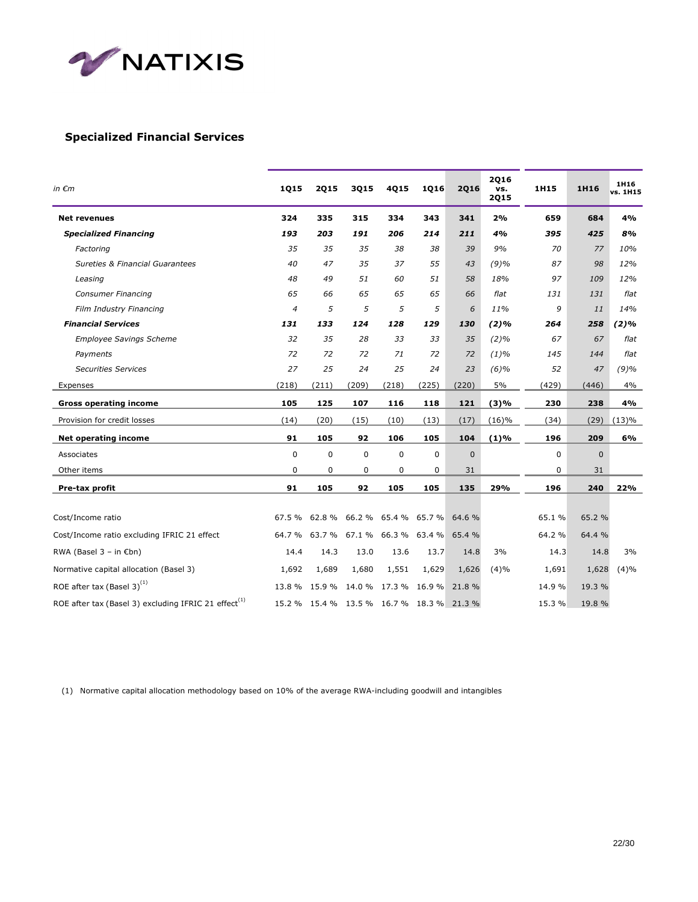

### **Specialized Financial Services**

| in $\epsilon$ m                                            | 1Q15        | <b>2Q15</b> | 3Q15      | 4Q15                        | 1Q16          | <b>2Q16</b> | <b>2Q16</b><br>vs.<br><b>2Q15</b> | 1H15   | 1H16           | 1H <sub>16</sub><br>vs. 1H15 |
|------------------------------------------------------------|-------------|-------------|-----------|-----------------------------|---------------|-------------|-----------------------------------|--------|----------------|------------------------------|
| <b>Net revenues</b>                                        | 324         | 335         | 315       | 334                         | 343           | 341         | 2%                                | 659    | 684            | 4%                           |
| <b>Specialized Financing</b>                               | 193         | 203         | 191       | 206                         | 214           | 211         | 4%                                | 395    | 425            | 8%                           |
| Factoring                                                  | 35          | 35          | 35        | 38                          | 38            | 39          | 9%                                | 70     | 77             | 10%                          |
| <b>Sureties &amp; Financial Guarantees</b>                 | 40          | 47          | 35        | 37                          | 55            | 43          | (9)%                              | 87     | 98             | 12%                          |
| Leasing                                                    | 48          | 49          | 51        | 60                          | 51            | 58          | 18%                               | 97     | 109            | 12%                          |
| <b>Consumer Financing</b>                                  | 65          | 66          | 65        | 65                          | 65            | 66          | flat                              | 131    | 131            | flat                         |
| Film Industry Financing                                    | 4           | 5           | 5         | 5                           | 5             | 6           | 11%                               | 9      | 11             | 14%                          |
| <b>Financial Services</b>                                  | 131         | 133         | 124       | 128                         | 129           | 130         | (2)%                              | 264    | 258            | $(2)\%$                      |
| <b>Employee Savings Scheme</b>                             | 32          | 35          | 28        | 33                          | 33            | 35          | $(2)\%$                           | 67     | 67             | flat                         |
| Payments                                                   | 72          | 72          | 72        | 71                          | 72            | 72          | $(1)\%$                           | 145    | 144            | flat                         |
| <b>Securities Services</b>                                 | 27          | 25          | 24        | 25                          | 24            | 23          | (6)%                              | 52     | 47             | (9)%                         |
| Expenses                                                   | (218)       | (211)       | (209)     | (218)                       | (225)         | (220)       | 5%                                | (429)  | (446)          | 4%                           |
| <b>Gross operating income</b>                              | 105         | 125         | 107       | 116                         | 118           | 121         | (3)%                              | 230    | 238            | 4%                           |
| Provision for credit losses                                | (14)        | (20)        | (15)      | (10)                        | (13)          | (17)        | (16)%                             | (34)   | (29)           | (13)%                        |
| Net operating income                                       | 91          | 105         | 92        | 106                         | 105           | 104         | (1)%                              | 196    | 209            | 6%                           |
| Associates                                                 | $\mathbf 0$ | 0           | $\pmb{0}$ | 0                           | $\pmb{0}$     | 0           |                                   | 0      | $\overline{0}$ |                              |
| Other items                                                | 0           | 0           | 0         | 0                           | 0             | 31          |                                   | 0      | 31             |                              |
| Pre-tax profit                                             | 91          | 105         | 92        | 105                         | 105           | 135         | 29%                               | 196    | 240            | 22%                          |
|                                                            |             |             |           |                             |               |             |                                   |        |                |                              |
| Cost/Income ratio                                          | 67.5%       | 62.8%       | 66.2%     |                             | 65.4 % 65.7 % | 64.6 %      |                                   | 65.1%  | 65.2 %         |                              |
| Cost/Income ratio excluding IFRIC 21 effect                | 64.7%       | 63.7 %      | 67.1%     | 66.3 %                      | 63.4 %        | 65.4 %      |                                   | 64.2 % | 64.4 %         |                              |
| RWA (Basel $3 - in \in$ bn)                                | 14.4        | 14.3        | 13.0      | 13.6                        | 13.7          | 14.8        | 3%                                | 14.3   | 14.8           | 3%                           |
| Normative capital allocation (Basel 3)                     | 1,692       | 1,689       | 1,680     | 1,551                       | 1,629         | 1,626       | (4)%                              | 1,691  | 1,628          | (4)%                         |
| ROE after tax (Basel 3) <sup>(1)</sup>                     | 13.8 %      | 15.9 %      | 14.0 %    | 17.3 % 16.9 %               |               | 21.8%       |                                   | 14.9 % | 19.3 %         |                              |
| ROE after tax (Basel 3) excluding IFRIC 21 effect $^{(1)}$ | 15.2 %      |             |           | 15.4 % 13.5 % 16.7 % 18.3 % |               | 21.3%       |                                   | 15.3 % | 19.8 %         |                              |

(1) Normative capital allocation methodology based on 10% of the average RWA-including goodwill and intangibles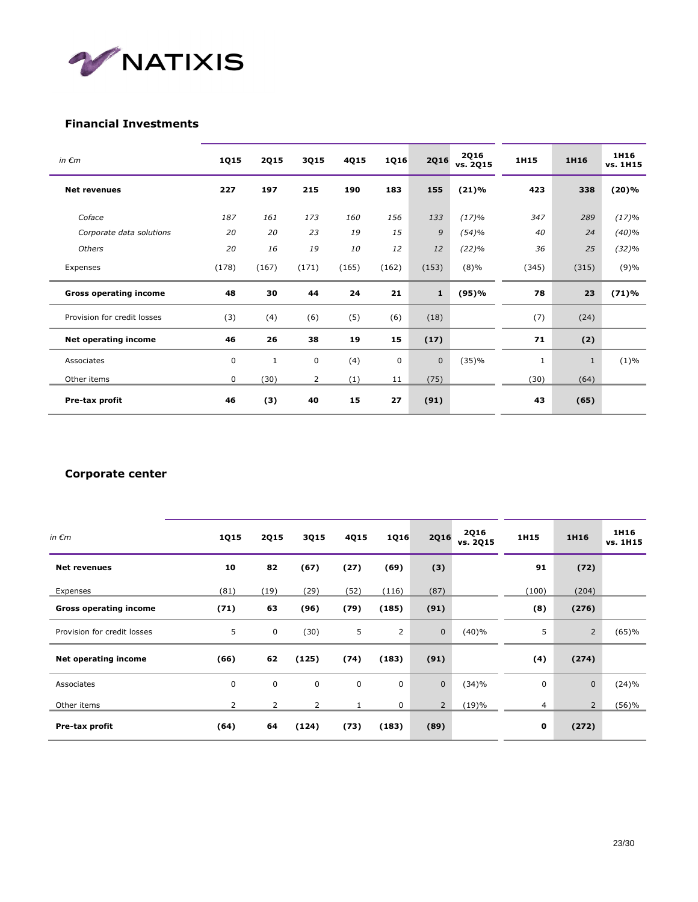

### **Financial Investments**

| in $\epsilon$ m               | 1Q15  | <b>2Q15</b> | 3Q15  | 4Q15  | 1Q16  | <b>2Q16</b>  | <b>2Q16</b><br>vs. 2Q15 | 1H15         | 1H16         | 1H16<br>vs. 1H15 |
|-------------------------------|-------|-------------|-------|-------|-------|--------------|-------------------------|--------------|--------------|------------------|
| <b>Net revenues</b>           | 227   | 197         | 215   | 190   | 183   | 155          | (21)%                   | 423          | 338          | (20)%            |
| Coface                        | 187   | 161         | 173   | 160   | 156   | 133          | (17)%                   | 347          | 289          | (17)%            |
| Corporate data solutions      | 20    | 20          | 23    | 19    | 15    | 9            | (54)%                   | 40           | 24           | (40)%            |
| Others                        | 20    | 16          | 19    | 10    | 12    | 12           | (22)%                   | 36           | 25           | (32)%            |
| Expenses                      | (178) | (167)       | (171) | (165) | (162) | (153)        | $(8)\%$                 | (345)        | (315)        | (9)%             |
| <b>Gross operating income</b> | 48    | 30          | 44    | 24    | 21    | $\mathbf{1}$ | (95)%                   | 78           | 23           | (71)%            |
| Provision for credit losses   | (3)   | (4)         | (6)   | (5)   | (6)   | (18)         |                         | (7)          | (24)         |                  |
| <b>Net operating income</b>   | 46    | 26          | 38    | 19    | 15    | (17)         |                         | 71           | (2)          |                  |
| Associates                    | 0     | 1           | 0     | (4)   | 0     | $\mathbf 0$  | (35)%                   | $\mathbf{1}$ | $\mathbf{1}$ | $(1)\%$          |
| Other items                   | 0     | (30)        | 2     | (1)   | 11    | (75)         |                         | (30)         | (64)         |                  |
| Pre-tax profit                | 46    | (3)         | 40    | 15    | 27    | (91)         |                         | 43           | (65)         |                  |

### **Corporate center**

| in $\epsilon$ m               | <b>1Q15</b> | <b>2Q15</b>    | <b>3Q15</b> | 4Q15 | 1Q16  | <b>2Q16</b>    | <b>2Q16</b><br>vs. 2Q15 | 1H15           | 1H16           | 1H16<br>vs. 1H15 |
|-------------------------------|-------------|----------------|-------------|------|-------|----------------|-------------------------|----------------|----------------|------------------|
| <b>Net revenues</b>           | 10          | 82             | (67)        | (27) | (69)  | (3)            |                         | 91             | (72)           |                  |
| Expenses                      | (81)        | (19)           | (29)        | (52) | (116) | (87)           |                         | (100)          | (204)          |                  |
| <b>Gross operating income</b> | (71)        | 63             | (96)        | (79) | (185) | (91)           |                         | (8)            | (276)          |                  |
| Provision for credit losses   | 5           | $\mathbf 0$    | (30)        | 5    | 2     | $\mathbf 0$    | (40)%                   | 5              | $\overline{2}$ | (65)%            |
| Net operating income          | (66)        | 62             | (125)       | (74) | (183) | (91)           |                         | (4)            | (274)          |                  |
| Associates                    | 0           | $\mathbf 0$    | 0           | 0    | 0     | $\mathbf{0}$   | (34)%                   | 0              | $\mathbf{0}$   | (24)%            |
| Other items                   | 2           | $\overline{2}$ | 2           |      | 0     | $\overline{2}$ | (19)%                   | $\overline{4}$ | $\overline{2}$ | (56)%            |
| Pre-tax profit                | (64)        | 64             | (124)       | (73) | (183) | (89)           |                         | 0              | (272)          |                  |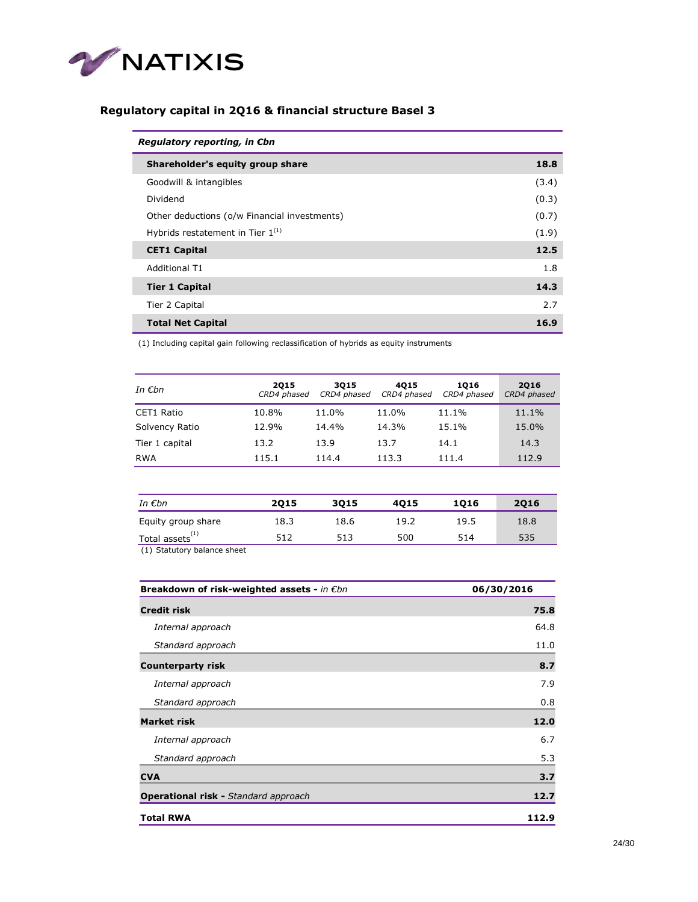

## **Regulatory capital in 2Q16 & financial structure Basel 3**

| Regulatory reporting, in Cbn                 |       |
|----------------------------------------------|-------|
| Shareholder's equity group share             | 18.8  |
| Goodwill & intangibles                       | (3.4) |
| Dividend                                     | (0.3) |
| Other deductions (o/w Financial investments) | (0.7) |
| Hybrids restatement in Tier $1^{(1)}$        | (1.9) |
| <b>CET1 Capital</b>                          | 12.5  |
| <b>Additional T1</b>                         | 1.8   |
| <b>Tier 1 Capital</b>                        | 14.3  |
| Tier 2 Capital                               | 2.7   |
| <b>Total Net Capital</b>                     | 16.9  |

(1) Including capital gain following reclassification of hybrids as equity instruments

| In $\epsilon$ bn | 2015<br>CRD4 phased | 3015<br>CRD4 phased | 4015<br>CRD4 phased | 1016<br>CRD4 phased | 2016<br>CRD4 phased |
|------------------|---------------------|---------------------|---------------------|---------------------|---------------------|
| CET1 Ratio       | 10.8%               | 11.0%               | 11.0%               | 11.1%               | 11.1%               |
| Solvency Ratio   | 12.9%               | 14.4%               | 14.3%               | 15.1%               | 15.0%               |
| Tier 1 capital   | 13.2                | 13.9                | 13.7                | 14.1                | 14.3                |
| RWA              | 115.1               | 114.4               | 113.3               | 111.4               | 112.9               |

| 2015 | 3015 | 4015 | 1016 | 2016 |
|------|------|------|------|------|
| 18.3 | 18.6 | 19.2 | 19.5 | 18.8 |
| 512  | 513  | 500  | 514  | 535  |
|      |      |      |      |      |

(1) Statutory balance sheet

| Breakdown of risk-weighted assets - in $\epsilon$ bn | 06/30/2016 |
|------------------------------------------------------|------------|
| <b>Credit risk</b>                                   | 75.8       |
| Internal approach                                    | 64.8       |
| Standard approach                                    | 11.0       |
| <b>Counterparty risk</b>                             | 8.7        |
| Internal approach                                    | 7.9        |
| Standard approach                                    | 0.8        |
| <b>Market risk</b>                                   | 12.0       |
| Internal approach                                    | 6.7        |
| Standard approach                                    | 5.3        |
| <b>CVA</b>                                           | 3.7        |
| <b>Operational risk - Standard approach</b>          | 12.7       |
| <b>Total RWA</b>                                     | 112.9      |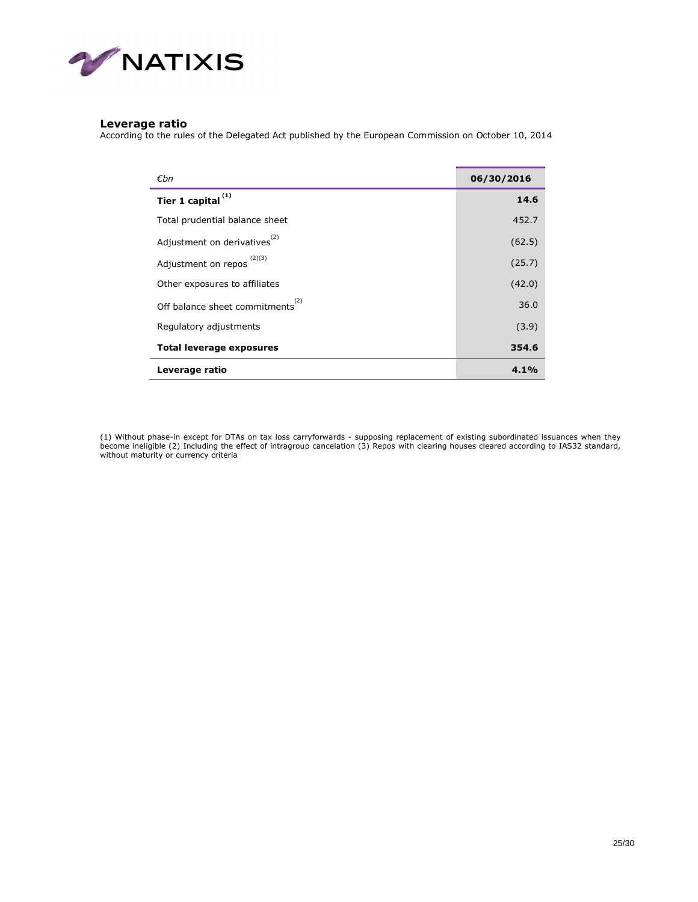

### **Leverage ratio**

According to the rules of the Delegated Act published by the European Commission on October 10, 2014

| €bn                                          | 06/30/2016 |
|----------------------------------------------|------------|
| Tier 1 capital <sup>(1)</sup>                | 14.6       |
| Total prudential balance sheet               | 452.7      |
| Adjustment on derivatives <sup>(2)</sup>     | (62.5)     |
| Adjustment on repos $(2)(3)$                 | (25.7)     |
| Other exposures to affiliates                | (42.0)     |
| Off balance sheet commitments <sup>(2)</sup> | 36.0       |
| Regulatory adjustments                       | (3.9)      |
| <b>Total leverage exposures</b>              | 354.6      |
| Leverage ratio                               | 4.1%       |

(1) Without phase-in except for DTAs on tax loss carryforwards - supposing replacement of existing subordinated issuances when they<br>become ineligible (2) Including the effect of intragroup cancelation (3) Repos with cleari without maturity or currency criteria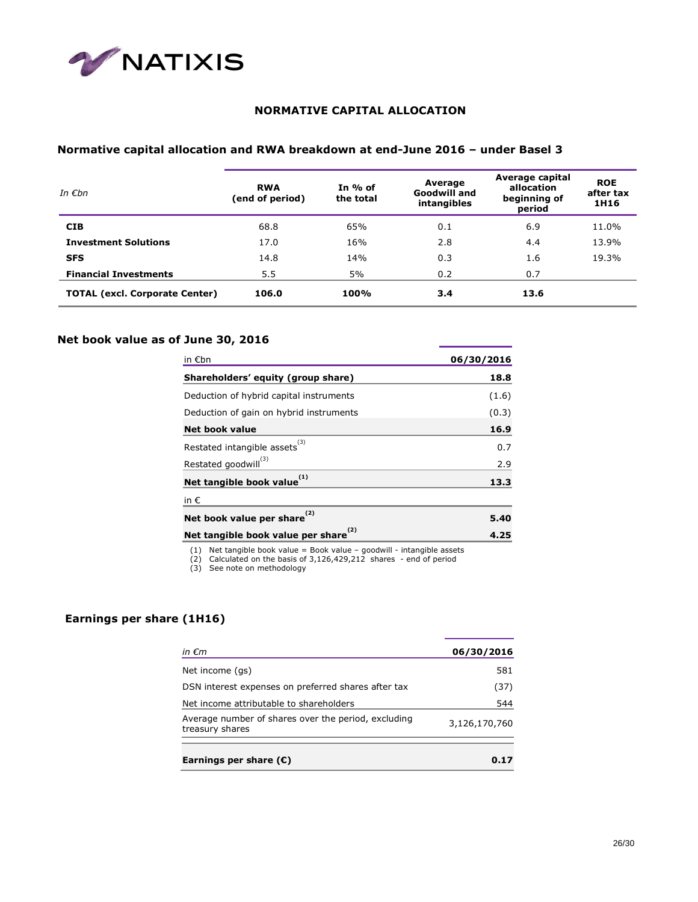

## **NORMATIVE CAPITAL ALLOCATION**

## **Normative capital allocation and RWA breakdown at end-June 2016 – under Basel 3**

| In $\epsilon$ bn                      | <b>RWA</b><br>(end of period) | In $%$ of<br>the total | Average<br><b>Goodwill and</b><br>intangibles | Average capital<br>allocation<br>beginning of<br>period | <b>ROE</b><br>after tax<br>1H16 |
|---------------------------------------|-------------------------------|------------------------|-----------------------------------------------|---------------------------------------------------------|---------------------------------|
| <b>CIB</b>                            | 68.8                          | 65%                    | 0.1                                           | 6.9                                                     | 11.0%                           |
| <b>Investment Solutions</b>           | 17.0                          | 16%                    | 2.8                                           | 4.4                                                     | 13.9%                           |
| <b>SFS</b>                            | 14.8                          | 14%                    | 0.3                                           | 1.6                                                     | 19.3%                           |
| <b>Financial Investments</b>          | 5.5                           | 5%                     | 0.2                                           | 0.7                                                     |                                 |
| <b>TOTAL (excl. Corporate Center)</b> | 106.0                         | 100%                   | 3.4                                           | 13.6                                                    |                                 |

### **Net book value as of June 30, 2016**

| in $\not\in$ bn                           | 06/30/2016 |
|-------------------------------------------|------------|
| Shareholders' equity (group share)        | 18.8       |
| Deduction of hybrid capital instruments   | (1.6)      |
| Deduction of gain on hybrid instruments   | (0.3)      |
| Net book value                            | 16.9       |
| Restated intangible assets <sup>(3)</sup> | 0.7        |
| Restated goodwill <sup>(3)</sup>          | 2.9        |
| Net tangible book value <sup>(1)</sup>    | 13.3       |
| in $\epsilon$                             |            |
| Net book value per share <sup>(2)</sup>   | 5.40       |
| Net tangible book value per share         | 4.25       |

(1) Net tangible book value = Book value – goodwill - intangible assets (2) Calculated on the basis of 3,126,429,212 shares - end of period (3) See note on methodology

### **Earnings per share (1H16)**

| in $\epsilon$ m                                                        | 06/30/2016    |
|------------------------------------------------------------------------|---------------|
| Net income (gs)                                                        | 581           |
| DSN interest expenses on preferred shares after tax                    | (37)          |
| Net income attributable to shareholders                                | 544           |
| Average number of shares over the period, excluding<br>treasury shares | 3,126,170,760 |
| Earnings per share $(E)$                                               | 0.17          |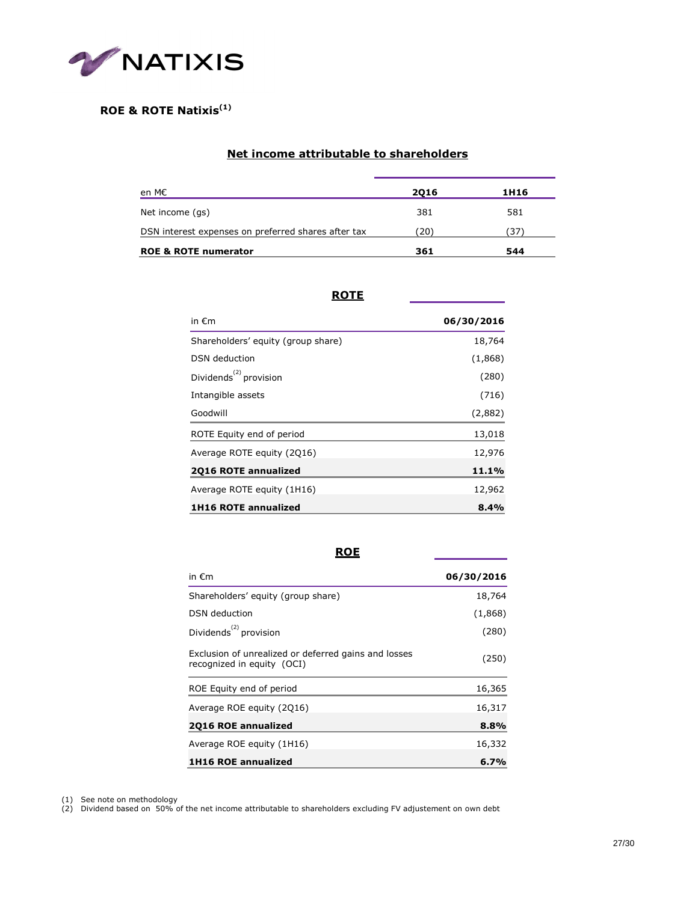

### **ROE & ROTE Natixis(1)**

### **Net income attributable to shareholders**

| en M€                                               | 2016 | 1H16 |
|-----------------------------------------------------|------|------|
| Net income (gs)                                     | 381  | 581  |
| DSN interest expenses on preferred shares after tax | (20) | (37) |
| <b>ROE &amp; ROTE numerator</b>                     | 361  | 544  |

### **ROTE**

| in $\epsilon$ m                                 | 06/30/2016 |
|-------------------------------------------------|------------|
| Shareholders' equity (group share)              | 18,764     |
| <b>DSN</b> deduction                            | (1,868)    |
| Dividends <sup><math>(2)</math></sup> provision | (280)      |
| Intangible assets                               | (716)      |
| Goodwill                                        | (2,882)    |
| ROTE Equity end of period                       | 13,018     |
| Average ROTE equity (2016)                      | 12,976     |
| 2016 ROTE annualized                            | 11.1%      |
| Average ROTE equity (1H16)                      | 12,962     |
| <b>1H16 ROTE annualized</b>                     | 8.4%       |

**ROE**

| in $\epsilon$ m                                                                    | 06/30/2016 |
|------------------------------------------------------------------------------------|------------|
| Shareholders' equity (group share)                                                 | 18,764     |
| DSN deduction                                                                      | (1,868)    |
| Dividends <sup><math>(2)</math></sup> provision                                    | (280)      |
| Exclusion of unrealized or deferred gains and losses<br>recognized in equity (OCI) | (250)      |
| ROE Equity end of period                                                           | 16,365     |
| Average ROE equity (2016)                                                          | 16,317     |
| 2Q16 ROE annualized                                                                | 8.8%       |
| Average ROE equity (1H16)                                                          | 16,332     |
| <b>1H16 ROE annualized</b>                                                         | 6.7%       |

(1) See note on methodology

(2) Dividend based on 50% of the net income attributable to shareholders excluding FV adjustement on own debt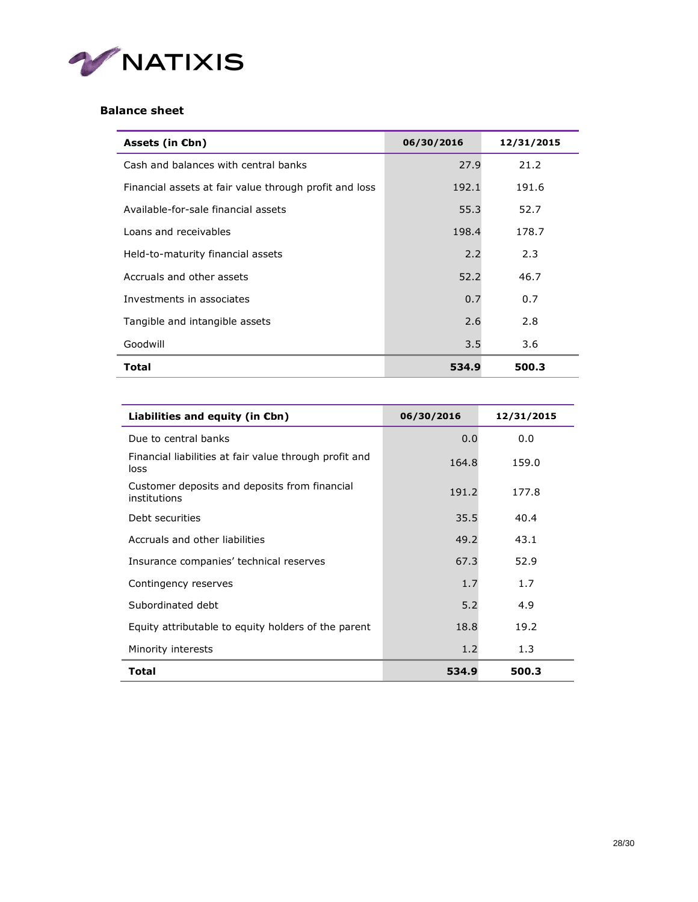

## **Balance sheet**

| Assets (in $Ebn$ )                                     | 06/30/2016 | 12/31/2015 |
|--------------------------------------------------------|------------|------------|
| Cash and balances with central banks                   | 27.9       | 21.2       |
| Financial assets at fair value through profit and loss | 192.1      | 191.6      |
| Available-for-sale financial assets                    | 55.3       | 52.7       |
| Loans and receivables                                  | 198.4      | 178.7      |
| Held-to-maturity financial assets                      | 2.2        | 2.3        |
| Accruals and other assets                              | 52.2       | 46.7       |
| Investments in associates                              | 0.7        | 0.7        |
| Tangible and intangible assets                         | 2.6        | 2.8        |
| Goodwill                                               | 3.5        | 3.6        |
| <b>Total</b>                                           | 534.9      | 500.3      |

| Liabilities and equity (in $\varepsilon$ bn)                   | 06/30/2016 | 12/31/2015 |  |
|----------------------------------------------------------------|------------|------------|--|
| Due to central banks                                           | 0.0        | 0.0        |  |
| Financial liabilities at fair value through profit and<br>loss | 164.8      | 159.0      |  |
| Customer deposits and deposits from financial<br>institutions  | 191.2      | 177.8      |  |
| Debt securities                                                | 35.5       | 40.4       |  |
| Accruals and other liabilities                                 | 49.2       | 43.1       |  |
| Insurance companies' technical reserves                        | 67.3       | 52.9       |  |
| Contingency reserves                                           | 1.7        | 1.7        |  |
| Subordinated debt                                              | 5.2        | 4.9        |  |
| Equity attributable to equity holders of the parent            | 18.8       | 19.2       |  |
| Minority interests                                             | 1.2        | 1.3        |  |
| <b>Total</b>                                                   | 534.9      | 500.3      |  |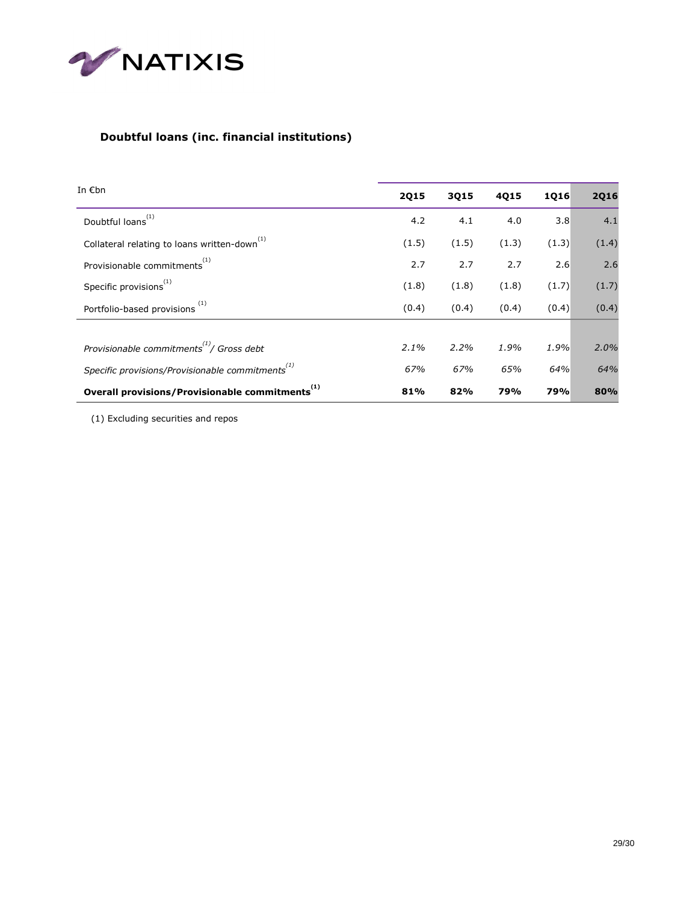

## **Doubtful loans (inc. financial institutions)**

| In $\epsilon$ bn                                                          | <b>2Q15</b> | 3Q15  | 4Q15  | 1Q16  | <b>2Q16</b> |
|---------------------------------------------------------------------------|-------------|-------|-------|-------|-------------|
| Doubtful loans <sup>(1)</sup>                                             | 4.2         | 4.1   | 4.0   | 3.8   | 4.1         |
| Collateral relating to loans written-down <sup>(1)</sup>                  | (1.5)       | (1.5) | (1.3) | (1.3) | (1.4)       |
| Provisionable commitments <sup>(1)</sup>                                  | 2.7         | 2.7   | 2.7   | 2.6   | 2.6         |
| Specific provisions <sup>(1)</sup>                                        | (1.8)       | (1.8) | (1.8) | (1.7) | (1.7)       |
| Portfolio-based provisions <sup>(1)</sup>                                 | (0.4)       | (0.4) | (0.4) | (0.4) | (0.4)       |
|                                                                           |             |       |       |       |             |
| Provisionable commitments <sup><math>\binom{1}{1}</math></sup> Gross debt | 2.1%        | 2.2%  | 1.9%  | 1.9%  | 2.0%        |
| Specific provisions/Provisionable commitments <sup>(1)</sup>              | 67%         | 67%   | 65%   | 64%   | 64%         |
| Overall provisions/Provisionable commitments                              | 81%         | 82%   | 79%   | 79%   | 80%         |

(1) Excluding securities and repos